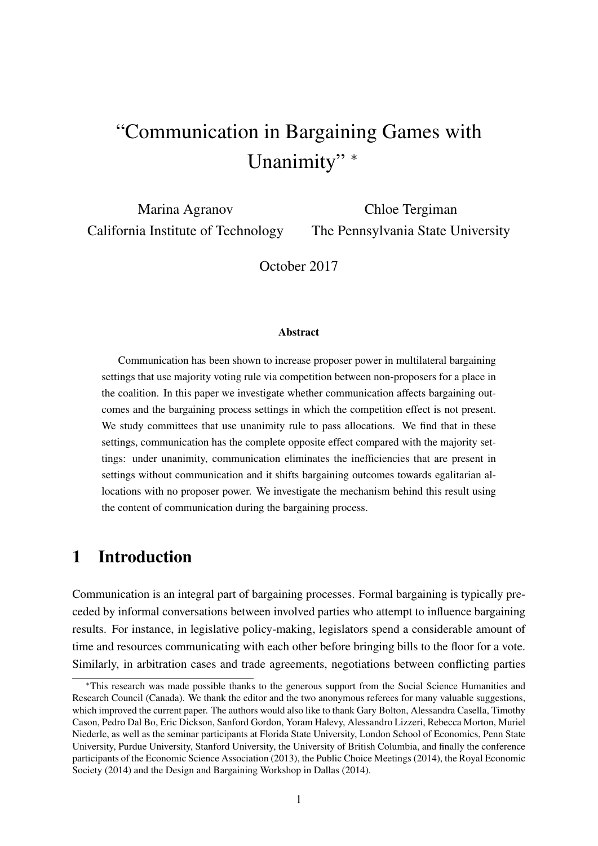# "Communication in Bargaining Games with Unanimity" \*

Marina Agranov California Institute of Technology

Chloe Tergiman The Pennsylvania State University

October 2017

#### Abstract

Communication has been shown to increase proposer power in multilateral bargaining settings that use majority voting rule via competition between non-proposers for a place in the coalition. In this paper we investigate whether communication affects bargaining outcomes and the bargaining process settings in which the competition effect is not present. We study committees that use unanimity rule to pass allocations. We find that in these settings, communication has the complete opposite effect compared with the majority settings: under unanimity, communication eliminates the inefficiencies that are present in settings without communication and it shifts bargaining outcomes towards egalitarian allocations with no proposer power. We investigate the mechanism behind this result using the content of communication during the bargaining process.

### 1 Introduction

Communication is an integral part of bargaining processes. Formal bargaining is typically preceded by informal conversations between involved parties who attempt to influence bargaining results. For instance, in legislative policy-making, legislators spend a considerable amount of time and resources communicating with each other before bringing bills to the floor for a vote. Similarly, in arbitration cases and trade agreements, negotiations between conflicting parties

<sup>∗</sup>This research was made possible thanks to the generous support from the Social Science Humanities and Research Council (Canada). We thank the editor and the two anonymous referees for many valuable suggestions, which improved the current paper. The authors would also like to thank Gary Bolton, Alessandra Casella, Timothy Cason, Pedro Dal Bo, Eric Dickson, Sanford Gordon, Yoram Halevy, Alessandro Lizzeri, Rebecca Morton, Muriel Niederle, as well as the seminar participants at Florida State University, London School of Economics, Penn State University, Purdue University, Stanford University, the University of British Columbia, and finally the conference participants of the Economic Science Association (2013), the Public Choice Meetings (2014), the Royal Economic Society (2014) and the Design and Bargaining Workshop in Dallas (2014).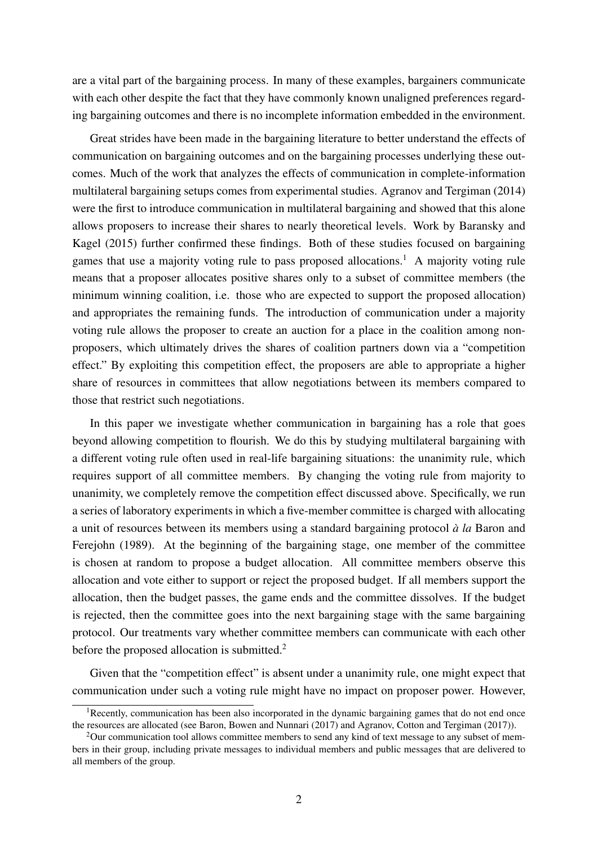are a vital part of the bargaining process. In many of these examples, bargainers communicate with each other despite the fact that they have commonly known unaligned preferences regarding bargaining outcomes and there is no incomplete information embedded in the environment.

Great strides have been made in the bargaining literature to better understand the effects of communication on bargaining outcomes and on the bargaining processes underlying these outcomes. Much of the work that analyzes the effects of communication in complete-information multilateral bargaining setups comes from experimental studies. Agranov and Tergiman (2014) were the first to introduce communication in multilateral bargaining and showed that this alone allows proposers to increase their shares to nearly theoretical levels. Work by Baransky and Kagel (2015) further confirmed these findings. Both of these studies focused on bargaining games that use a majority voting rule to pass proposed allocations.<sup>1</sup> A majority voting rule means that a proposer allocates positive shares only to a subset of committee members (the minimum winning coalition, i.e. those who are expected to support the proposed allocation) and appropriates the remaining funds. The introduction of communication under a majority voting rule allows the proposer to create an auction for a place in the coalition among nonproposers, which ultimately drives the shares of coalition partners down via a "competition effect." By exploiting this competition effect, the proposers are able to appropriate a higher share of resources in committees that allow negotiations between its members compared to those that restrict such negotiations.

In this paper we investigate whether communication in bargaining has a role that goes beyond allowing competition to flourish. We do this by studying multilateral bargaining with a different voting rule often used in real-life bargaining situations: the unanimity rule, which requires support of all committee members. By changing the voting rule from majority to unanimity, we completely remove the competition effect discussed above. Specifically, we run a series of laboratory experiments in which a five-member committee is charged with allocating a unit of resources between its members using a standard bargaining protocol *a la `* Baron and Ferejohn (1989). At the beginning of the bargaining stage, one member of the committee is chosen at random to propose a budget allocation. All committee members observe this allocation and vote either to support or reject the proposed budget. If all members support the allocation, then the budget passes, the game ends and the committee dissolves. If the budget is rejected, then the committee goes into the next bargaining stage with the same bargaining protocol. Our treatments vary whether committee members can communicate with each other before the proposed allocation is submitted.<sup>2</sup>

Given that the "competition effect" is absent under a unanimity rule, one might expect that communication under such a voting rule might have no impact on proposer power. However,

<sup>&</sup>lt;sup>1</sup>Recently, communication has been also incorporated in the dynamic bargaining games that do not end once the resources are allocated (see Baron, Bowen and Nunnari (2017) and Agranov, Cotton and Tergiman (2017)).

<sup>&</sup>lt;sup>2</sup>Our communication tool allows committee members to send any kind of text message to any subset of members in their group, including private messages to individual members and public messages that are delivered to all members of the group.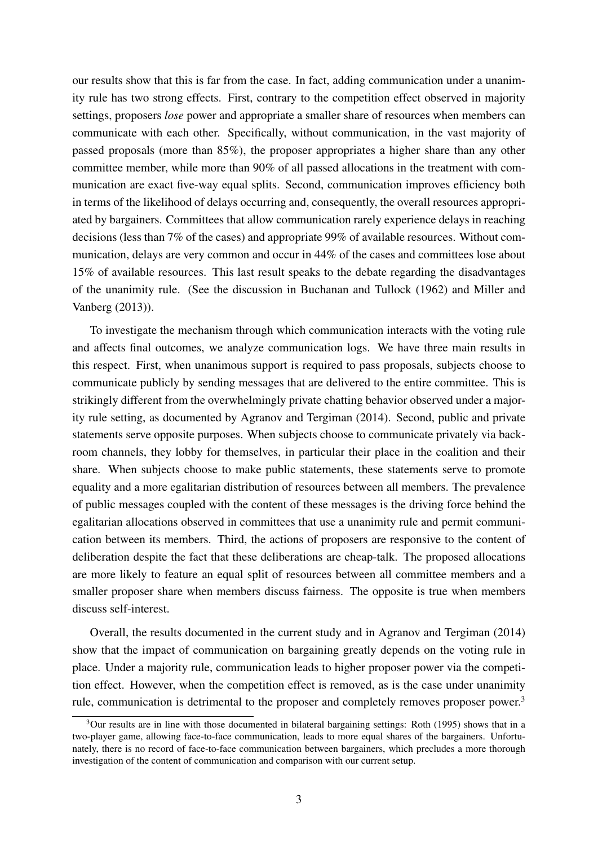our results show that this is far from the case. In fact, adding communication under a unanimity rule has two strong effects. First, contrary to the competition effect observed in majority settings, proposers *lose* power and appropriate a smaller share of resources when members can communicate with each other. Specifically, without communication, in the vast majority of passed proposals (more than 85%), the proposer appropriates a higher share than any other committee member, while more than 90% of all passed allocations in the treatment with communication are exact five-way equal splits. Second, communication improves efficiency both in terms of the likelihood of delays occurring and, consequently, the overall resources appropriated by bargainers. Committees that allow communication rarely experience delays in reaching decisions (less than 7% of the cases) and appropriate 99% of available resources. Without communication, delays are very common and occur in 44% of the cases and committees lose about 15% of available resources. This last result speaks to the debate regarding the disadvantages of the unanimity rule. (See the discussion in Buchanan and Tullock (1962) and Miller and Vanberg (2013)).

To investigate the mechanism through which communication interacts with the voting rule and affects final outcomes, we analyze communication logs. We have three main results in this respect. First, when unanimous support is required to pass proposals, subjects choose to communicate publicly by sending messages that are delivered to the entire committee. This is strikingly different from the overwhelmingly private chatting behavior observed under a majority rule setting, as documented by Agranov and Tergiman (2014). Second, public and private statements serve opposite purposes. When subjects choose to communicate privately via backroom channels, they lobby for themselves, in particular their place in the coalition and their share. When subjects choose to make public statements, these statements serve to promote equality and a more egalitarian distribution of resources between all members. The prevalence of public messages coupled with the content of these messages is the driving force behind the egalitarian allocations observed in committees that use a unanimity rule and permit communication between its members. Third, the actions of proposers are responsive to the content of deliberation despite the fact that these deliberations are cheap-talk. The proposed allocations are more likely to feature an equal split of resources between all committee members and a smaller proposer share when members discuss fairness. The opposite is true when members discuss self-interest.

Overall, the results documented in the current study and in Agranov and Tergiman (2014) show that the impact of communication on bargaining greatly depends on the voting rule in place. Under a majority rule, communication leads to higher proposer power via the competition effect. However, when the competition effect is removed, as is the case under unanimity rule, communication is detrimental to the proposer and completely removes proposer power.<sup>3</sup>

<sup>&</sup>lt;sup>3</sup>Our results are in line with those documented in bilateral bargaining settings: Roth (1995) shows that in a two-player game, allowing face-to-face communication, leads to more equal shares of the bargainers. Unfortunately, there is no record of face-to-face communication between bargainers, which precludes a more thorough investigation of the content of communication and comparison with our current setup.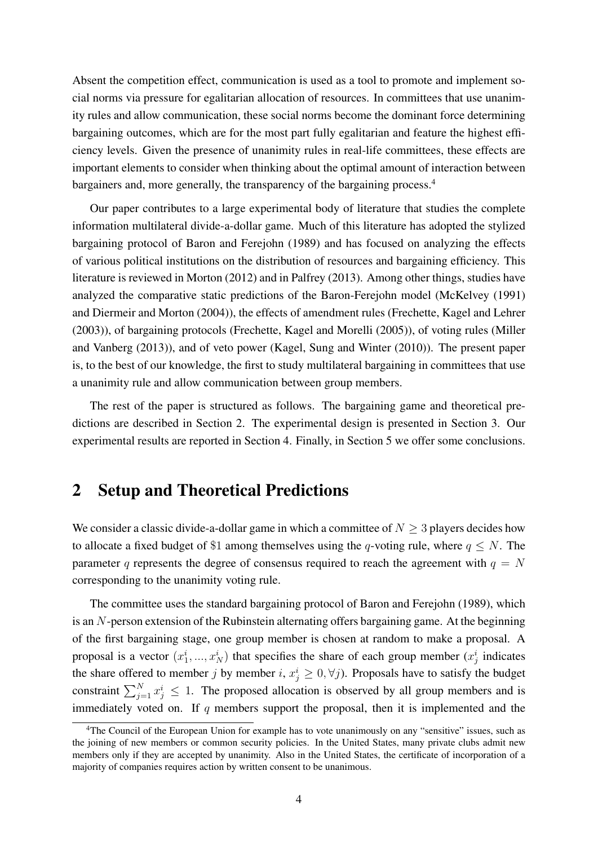Absent the competition effect, communication is used as a tool to promote and implement social norms via pressure for egalitarian allocation of resources. In committees that use unanimity rules and allow communication, these social norms become the dominant force determining bargaining outcomes, which are for the most part fully egalitarian and feature the highest efficiency levels. Given the presence of unanimity rules in real-life committees, these effects are important elements to consider when thinking about the optimal amount of interaction between bargainers and, more generally, the transparency of the bargaining process.<sup>4</sup>

Our paper contributes to a large experimental body of literature that studies the complete information multilateral divide-a-dollar game. Much of this literature has adopted the stylized bargaining protocol of Baron and Ferejohn (1989) and has focused on analyzing the effects of various political institutions on the distribution of resources and bargaining efficiency. This literature is reviewed in Morton (2012) and in Palfrey (2013). Among other things, studies have analyzed the comparative static predictions of the Baron-Ferejohn model (McKelvey (1991) and Diermeir and Morton (2004)), the effects of amendment rules (Frechette, Kagel and Lehrer (2003)), of bargaining protocols (Frechette, Kagel and Morelli (2005)), of voting rules (Miller and Vanberg (2013)), and of veto power (Kagel, Sung and Winter (2010)). The present paper is, to the best of our knowledge, the first to study multilateral bargaining in committees that use a unanimity rule and allow communication between group members.

The rest of the paper is structured as follows. The bargaining game and theoretical predictions are described in Section 2. The experimental design is presented in Section 3. Our experimental results are reported in Section 4. Finally, in Section 5 we offer some conclusions.

## 2 Setup and Theoretical Predictions

We consider a classic divide-a-dollar game in which a committee of  $N > 3$  players decides how to allocate a fixed budget of \$1 among themselves using the q-voting rule, where  $q \leq N$ . The parameter q represents the degree of consensus required to reach the agreement with  $q = N$ corresponding to the unanimity voting rule.

The committee uses the standard bargaining protocol of Baron and Ferejohn (1989), which is an  $N$ -person extension of the Rubinstein alternating offers bargaining game. At the beginning of the first bargaining stage, one group member is chosen at random to make a proposal. A proposal is a vector  $(x_1^i, ..., x_N^i)$  that specifies the share of each group member  $(x_j^i)$  indicates the share offered to member j by member i,  $x_j^i \geq 0, \forall j$ ). Proposals have to satisfy the budget constraint  $\sum_{j=1}^{N} x_j^i \leq 1$ . The proposed allocation is observed by all group members and is immediately voted on. If  $q$  members support the proposal, then it is implemented and the

<sup>4</sup>The Council of the European Union for example has to vote unanimously on any "sensitive" issues, such as the joining of new members or common security policies. In the United States, many private clubs admit new members only if they are accepted by unanimity. Also in the United States, the certificate of incorporation of a majority of companies requires action by written consent to be unanimous.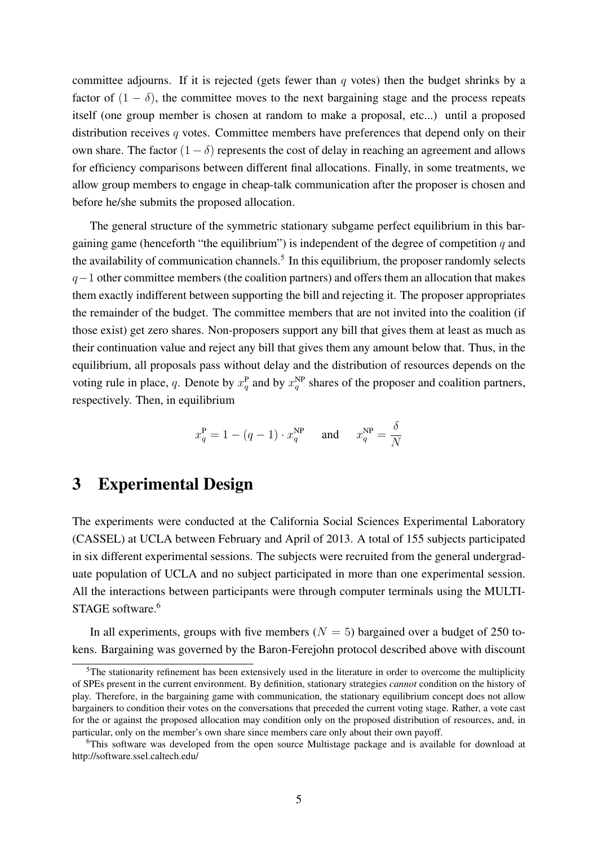committee adjourns. If it is rejected (gets fewer than  $q$  votes) then the budget shrinks by a factor of  $(1 - \delta)$ , the committee moves to the next bargaining stage and the process repeats itself (one group member is chosen at random to make a proposal, etc...) until a proposed distribution receives q votes. Committee members have preferences that depend only on their own share. The factor  $(1 - \delta)$  represents the cost of delay in reaching an agreement and allows for efficiency comparisons between different final allocations. Finally, in some treatments, we allow group members to engage in cheap-talk communication after the proposer is chosen and before he/she submits the proposed allocation.

The general structure of the symmetric stationary subgame perfect equilibrium in this bargaining game (henceforth "the equilibrium") is independent of the degree of competition  $q$  and the availability of communication channels.<sup>5</sup> In this equilibrium, the proposer randomly selects  $q-1$  other committee members (the coalition partners) and offers them an allocation that makes them exactly indifferent between supporting the bill and rejecting it. The proposer appropriates the remainder of the budget. The committee members that are not invited into the coalition (if those exist) get zero shares. Non-proposers support any bill that gives them at least as much as their continuation value and reject any bill that gives them any amount below that. Thus, in the equilibrium, all proposals pass without delay and the distribution of resources depends on the voting rule in place, q. Denote by  $x_q^P$  and by  $x_q^NP$  shares of the proposer and coalition partners, respectively. Then, in equilibrium

$$
x_q^{\mathbf{P}} = 1 - (q - 1) \cdot x_q^{\mathbf{NP}} \quad \text{and} \quad x_q^{\mathbf{NP}} = \frac{\delta}{N}
$$

## 3 Experimental Design

The experiments were conducted at the California Social Sciences Experimental Laboratory (CASSEL) at UCLA between February and April of 2013. A total of 155 subjects participated in six different experimental sessions. The subjects were recruited from the general undergraduate population of UCLA and no subject participated in more than one experimental session. All the interactions between participants were through computer terminals using the MULTI-STAGE software.<sup>6</sup>

In all experiments, groups with five members ( $N = 5$ ) bargained over a budget of 250 tokens. Bargaining was governed by the Baron-Ferejohn protocol described above with discount

 $5$ The stationarity refinement has been extensively used in the literature in order to overcome the multiplicity of SPEs present in the current environment. By definition, stationary strategies *cannot* condition on the history of play. Therefore, in the bargaining game with communication, the stationary equilibrium concept does not allow bargainers to condition their votes on the conversations that preceded the current voting stage. Rather, a vote cast for the or against the proposed allocation may condition only on the proposed distribution of resources, and, in particular, only on the member's own share since members care only about their own payoff.

<sup>6</sup>This software was developed from the open source Multistage package and is available for download at http://software.ssel.caltech.edu/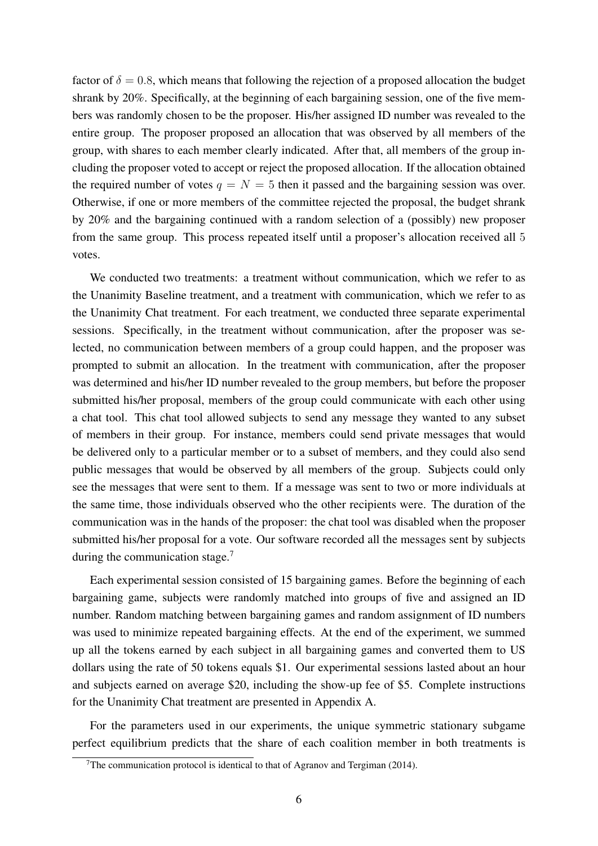factor of  $\delta = 0.8$ , which means that following the rejection of a proposed allocation the budget shrank by 20%. Specifically, at the beginning of each bargaining session, one of the five members was randomly chosen to be the proposer. His/her assigned ID number was revealed to the entire group. The proposer proposed an allocation that was observed by all members of the group, with shares to each member clearly indicated. After that, all members of the group including the proposer voted to accept or reject the proposed allocation. If the allocation obtained the required number of votes  $q = N = 5$  then it passed and the bargaining session was over. Otherwise, if one or more members of the committee rejected the proposal, the budget shrank by 20% and the bargaining continued with a random selection of a (possibly) new proposer from the same group. This process repeated itself until a proposer's allocation received all 5 votes.

We conducted two treatments: a treatment without communication, which we refer to as the Unanimity Baseline treatment, and a treatment with communication, which we refer to as the Unanimity Chat treatment. For each treatment, we conducted three separate experimental sessions. Specifically, in the treatment without communication, after the proposer was selected, no communication between members of a group could happen, and the proposer was prompted to submit an allocation. In the treatment with communication, after the proposer was determined and his/her ID number revealed to the group members, but before the proposer submitted his/her proposal, members of the group could communicate with each other using a chat tool. This chat tool allowed subjects to send any message they wanted to any subset of members in their group. For instance, members could send private messages that would be delivered only to a particular member or to a subset of members, and they could also send public messages that would be observed by all members of the group. Subjects could only see the messages that were sent to them. If a message was sent to two or more individuals at the same time, those individuals observed who the other recipients were. The duration of the communication was in the hands of the proposer: the chat tool was disabled when the proposer submitted his/her proposal for a vote. Our software recorded all the messages sent by subjects during the communication stage.<sup>7</sup>

Each experimental session consisted of 15 bargaining games. Before the beginning of each bargaining game, subjects were randomly matched into groups of five and assigned an ID number. Random matching between bargaining games and random assignment of ID numbers was used to minimize repeated bargaining effects. At the end of the experiment, we summed up all the tokens earned by each subject in all bargaining games and converted them to US dollars using the rate of 50 tokens equals \$1. Our experimental sessions lasted about an hour and subjects earned on average \$20, including the show-up fee of \$5. Complete instructions for the Unanimity Chat treatment are presented in Appendix A.

For the parameters used in our experiments, the unique symmetric stationary subgame perfect equilibrium predicts that the share of each coalition member in both treatments is

<sup>&</sup>lt;sup>7</sup>The communication protocol is identical to that of Agranov and Tergiman (2014).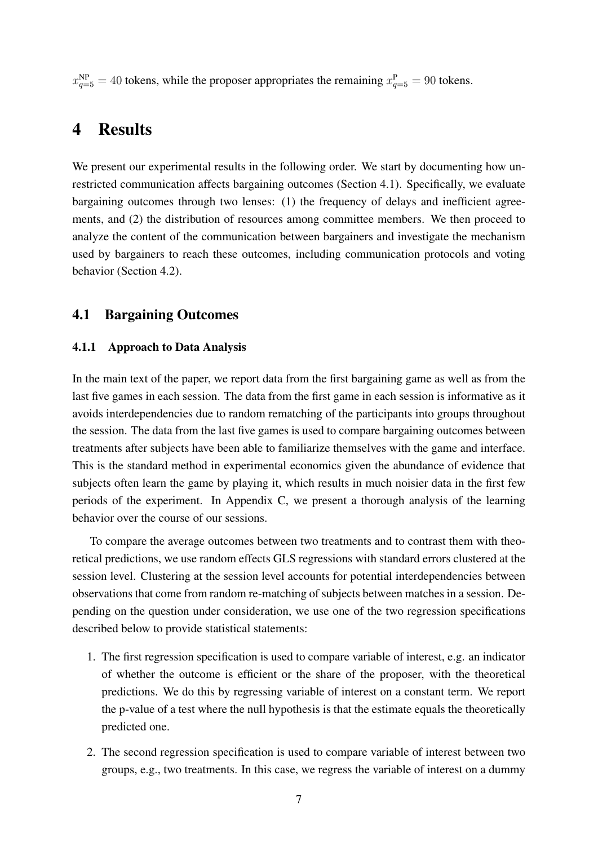$x_{q=5}^{\text{NP}} = 40$  tokens, while the proposer appropriates the remaining  $x_{q=5}^{\text{P}} = 90$  tokens.

## 4 Results

We present our experimental results in the following order. We start by documenting how unrestricted communication affects bargaining outcomes (Section 4.1). Specifically, we evaluate bargaining outcomes through two lenses: (1) the frequency of delays and inefficient agreements, and (2) the distribution of resources among committee members. We then proceed to analyze the content of the communication between bargainers and investigate the mechanism used by bargainers to reach these outcomes, including communication protocols and voting behavior (Section 4.2).

#### 4.1 Bargaining Outcomes

#### 4.1.1 Approach to Data Analysis

In the main text of the paper, we report data from the first bargaining game as well as from the last five games in each session. The data from the first game in each session is informative as it avoids interdependencies due to random rematching of the participants into groups throughout the session. The data from the last five games is used to compare bargaining outcomes between treatments after subjects have been able to familiarize themselves with the game and interface. This is the standard method in experimental economics given the abundance of evidence that subjects often learn the game by playing it, which results in much noisier data in the first few periods of the experiment. In Appendix C, we present a thorough analysis of the learning behavior over the course of our sessions.

To compare the average outcomes between two treatments and to contrast them with theoretical predictions, we use random effects GLS regressions with standard errors clustered at the session level. Clustering at the session level accounts for potential interdependencies between observations that come from random re-matching of subjects between matches in a session. Depending on the question under consideration, we use one of the two regression specifications described below to provide statistical statements:

- 1. The first regression specification is used to compare variable of interest, e.g. an indicator of whether the outcome is efficient or the share of the proposer, with the theoretical predictions. We do this by regressing variable of interest on a constant term. We report the p-value of a test where the null hypothesis is that the estimate equals the theoretically predicted one.
- 2. The second regression specification is used to compare variable of interest between two groups, e.g., two treatments. In this case, we regress the variable of interest on a dummy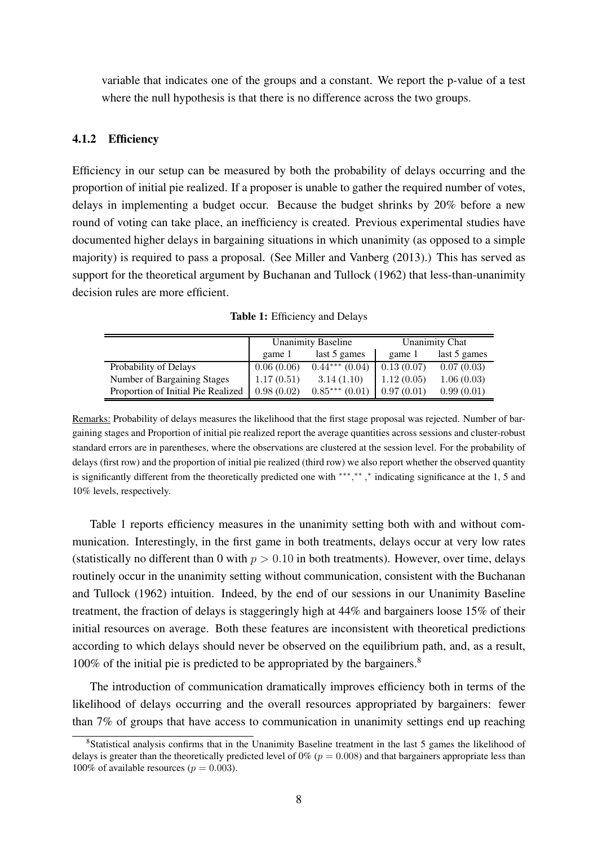variable that indicates one of the groups and a constant. We report the p-value of a test where the null hypothesis is that there is no difference across the two groups.

#### 4.1.2 Efficiency

Efficiency in our setup can be measured by both the probability of delays occurring and the proportion of initial pie realized. If a proposer is unable to gather the required number of votes, delays in implementing a budget occur. Because the budget shrinks by 20% before a new round of voting can take place, an inefficiency is created. Previous experimental studies have documented higher delays in bargaining situations in which unanimity (as opposed to a simple majority) is required to pass a proposal. (See Miller and Vanberg (2013).) This has served as support for the theoretical argument by Buchanan and Tullock (1962) that less-than-unanimity decision rules are more efficient.

Table 1: Efficiency and Delays

|                                    |            | <b>Unanimity Baseline</b> | Unanimity Chat |              |  |
|------------------------------------|------------|---------------------------|----------------|--------------|--|
|                                    | game 1     | last 5 games              | game 1         | last 5 games |  |
| Probability of Delays              | 0.06(0.06) | $0.44***(0.04)$           | 0.13(0.07)     | 0.07(0.03)   |  |
| Number of Bargaining Stages        | 1.17(0.51) | 3.14(1.10)                | 1.12(0.05)     | 1.06(0.03)   |  |
| Proportion of Initial Pie Realized | 0.98(0.02) | $0.85***(0.01)$           | 0.97(0.01)     | 0.99(0.01)   |  |

Remarks: Probability of delays measures the likelihood that the first stage proposal was rejected. Number of bargaining stages and Proportion of initial pie realized report the average quantities across sessions and cluster-robust standard errors are in parentheses, where the observations are clustered at the session level. For the probability of delays (first row) and the proportion of initial pie realized (third row) we also report whether the observed quantity is significantly different from the theoretically predicted one with \*\*\*,\*\*,\* indicating significance at the 1, 5 and 10% levels, respectively.

Table 1 reports efficiency measures in the unanimity setting both with and without communication. Interestingly, in the first game in both treatments, delays occur at very low rates (statistically no different than 0 with  $p > 0.10$  in both treatments). However, over time, delays routinely occur in the unanimity setting without communication, consistent with the Buchanan and Tullock (1962) intuition. Indeed, by the end of our sessions in our Unanimity Baseline treatment, the fraction of delays is staggeringly high at 44% and bargainers loose 15% of their initial resources on average. Both these features are inconsistent with theoretical predictions according to which delays should never be observed on the equilibrium path, and, as a result, 100% of the initial pie is predicted to be appropriated by the bargainers.<sup>8</sup>

The introduction of communication dramatically improves efficiency both in terms of the likelihood of delays occurring and the overall resources appropriated by bargainers: fewer than 7% of groups that have access to communication in unanimity settings end up reaching

<sup>&</sup>lt;sup>8</sup>Statistical analysis confirms that in the Unanimity Baseline treatment in the last 5 games the likelihood of delays is greater than the theoretically predicted level of  $0\%$  ( $p = 0.008$ ) and that bargainers appropriate less than 100% of available resources ( $p = 0.003$ ).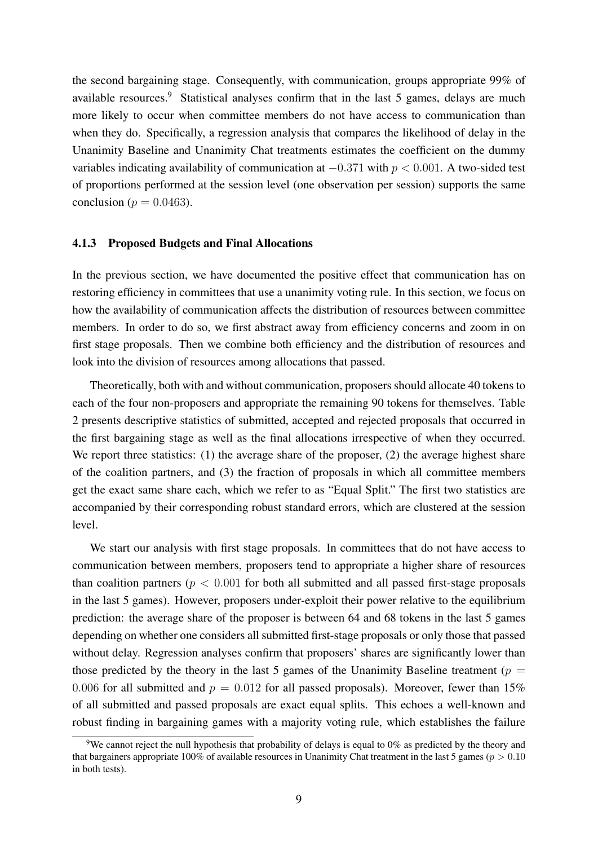the second bargaining stage. Consequently, with communication, groups appropriate 99% of available resources.<sup>9</sup> Statistical analyses confirm that in the last 5 games, delays are much more likely to occur when committee members do not have access to communication than when they do. Specifically, a regression analysis that compares the likelihood of delay in the Unanimity Baseline and Unanimity Chat treatments estimates the coefficient on the dummy variables indicating availability of communication at  $-0.371$  with  $p < 0.001$ . A two-sided test of proportions performed at the session level (one observation per session) supports the same conclusion ( $p = 0.0463$ ).

#### 4.1.3 Proposed Budgets and Final Allocations

In the previous section, we have documented the positive effect that communication has on restoring efficiency in committees that use a unanimity voting rule. In this section, we focus on how the availability of communication affects the distribution of resources between committee members. In order to do so, we first abstract away from efficiency concerns and zoom in on first stage proposals. Then we combine both efficiency and the distribution of resources and look into the division of resources among allocations that passed.

Theoretically, both with and without communication, proposers should allocate 40 tokens to each of the four non-proposers and appropriate the remaining 90 tokens for themselves. Table 2 presents descriptive statistics of submitted, accepted and rejected proposals that occurred in the first bargaining stage as well as the final allocations irrespective of when they occurred. We report three statistics: (1) the average share of the proposer, (2) the average highest share of the coalition partners, and (3) the fraction of proposals in which all committee members get the exact same share each, which we refer to as "Equal Split." The first two statistics are accompanied by their corresponding robust standard errors, which are clustered at the session level.

We start our analysis with first stage proposals. In committees that do not have access to communication between members, proposers tend to appropriate a higher share of resources than coalition partners ( $p < 0.001$  for both all submitted and all passed first-stage proposals in the last 5 games). However, proposers under-exploit their power relative to the equilibrium prediction: the average share of the proposer is between 64 and 68 tokens in the last 5 games depending on whether one considers all submitted first-stage proposals or only those that passed without delay. Regression analyses confirm that proposers' shares are significantly lower than those predicted by the theory in the last 5 games of the Unanimity Baseline treatment ( $p =$ 0.006 for all submitted and  $p = 0.012$  for all passed proposals). Moreover, fewer than 15% of all submitted and passed proposals are exact equal splits. This echoes a well-known and robust finding in bargaining games with a majority voting rule, which establishes the failure

<sup>9</sup>We cannot reject the null hypothesis that probability of delays is equal to 0% as predicted by the theory and that bargainers appropriate 100% of available resources in Unanimity Chat treatment in the last 5 games ( $p > 0.10$ ) in both tests).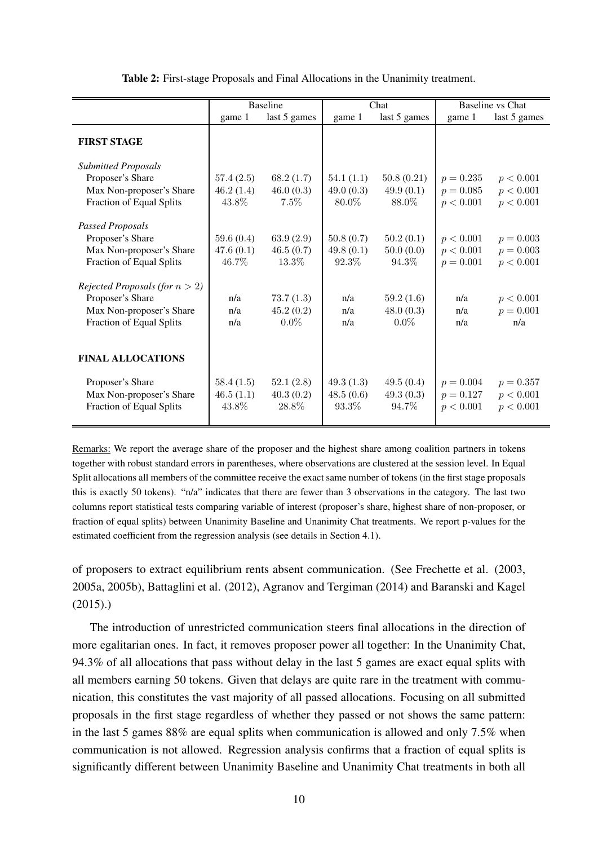|                                                                                                                                                                                                                                   |                                                         | <b>Baseline</b>                                                         |                                                      | Chat                                                                 |                                                            | Baseline vs Chat                                                           |
|-----------------------------------------------------------------------------------------------------------------------------------------------------------------------------------------------------------------------------------|---------------------------------------------------------|-------------------------------------------------------------------------|------------------------------------------------------|----------------------------------------------------------------------|------------------------------------------------------------|----------------------------------------------------------------------------|
|                                                                                                                                                                                                                                   | game 1                                                  | last 5 games                                                            | game 1                                               | last 5 games                                                         | game 1                                                     | last 5 games                                                               |
| <b>FIRST STAGE</b>                                                                                                                                                                                                                |                                                         |                                                                         |                                                      |                                                                      |                                                            |                                                                            |
| <b>Submitted Proposals</b>                                                                                                                                                                                                        |                                                         |                                                                         |                                                      |                                                                      |                                                            |                                                                            |
| Proposer's Share                                                                                                                                                                                                                  | 57.4(2.5)                                               | 68.2(1.7)                                                               | 54.1(1.1)                                            | 50.8(0.21)                                                           | $p = 0.235$                                                | p < 0.001                                                                  |
| Max Non-proposer's Share                                                                                                                                                                                                          | 46.2(1.4)                                               | 46.0(0.3)                                                               | 49.0(0.3)                                            | 49.9(0.1)                                                            | $p = 0.085$                                                | p < 0.001                                                                  |
| Fraction of Equal Splits                                                                                                                                                                                                          | 43.8%                                                   | $7.5\%$                                                                 | 80.0%                                                | 88.0\%                                                               | p < 0.001                                                  | p < 0.001                                                                  |
| Passed Proposals<br>Proposer's Share<br>Max Non-proposer's Share<br>Fraction of Equal Splits<br><i>Rejected Proposals (for <math>n &gt; 2</math>)</i><br>Proposer's Share<br>Max Non-proposer's Share<br>Fraction of Equal Splits | 59.6(0.4)<br>47.6(0.1)<br>$46.7\%$<br>n/a<br>n/a<br>n/a | 63.9(2.9)<br>46.5(0.7)<br>$13.3\%$<br>73.7(1.3)<br>45.2(0.2)<br>$0.0\%$ | 50.8(0.7)<br>49.8(0.1)<br>92.3%<br>n/a<br>n/a<br>n/a | 50.2(0.1)<br>50.0(0.0)<br>94.3%<br>59.2(1.6)<br>48.0(0.3)<br>$0.0\%$ | p < 0.001<br>p < 0.001<br>$p = 0.001$<br>n/a<br>n/a<br>n/a | $p = 0.003$<br>$p = 0.003$<br>p < 0.001<br>p < 0.001<br>$p = 0.001$<br>n/a |
| <b>FINAL ALLOCATIONS</b>                                                                                                                                                                                                          |                                                         |                                                                         |                                                      |                                                                      |                                                            |                                                                            |
| Proposer's Share                                                                                                                                                                                                                  | 58.4(1.5)                                               | 52.1(2.8)                                                               | 49.3(1.3)                                            | 49.5(0.4)                                                            | $p = 0.004$                                                | $p = 0.357$                                                                |
| Max Non-proposer's Share                                                                                                                                                                                                          | 46.5(1.1)                                               | 40.3(0.2)                                                               | 48.5(0.6)                                            | 49.3(0.3)                                                            | $p = 0.127$                                                | p < 0.001                                                                  |
| Fraction of Equal Splits                                                                                                                                                                                                          | 43.8%                                                   | 28.8%                                                                   | $93.3\%$                                             | 94.7%                                                                | p < 0.001                                                  | p < 0.001                                                                  |

Table 2: First-stage Proposals and Final Allocations in the Unanimity treatment.

Remarks: We report the average share of the proposer and the highest share among coalition partners in tokens together with robust standard errors in parentheses, where observations are clustered at the session level. In Equal Split allocations all members of the committee receive the exact same number of tokens (in the first stage proposals this is exactly 50 tokens). "n/a" indicates that there are fewer than 3 observations in the category. The last two columns report statistical tests comparing variable of interest (proposer's share, highest share of non-proposer, or fraction of equal splits) between Unanimity Baseline and Unanimity Chat treatments. We report p-values for the estimated coefficient from the regression analysis (see details in Section 4.1).

of proposers to extract equilibrium rents absent communication. (See Frechette et al. (2003, 2005a, 2005b), Battaglini et al. (2012), Agranov and Tergiman (2014) and Baranski and Kagel (2015).)

The introduction of unrestricted communication steers final allocations in the direction of more egalitarian ones. In fact, it removes proposer power all together: In the Unanimity Chat, 94.3% of all allocations that pass without delay in the last 5 games are exact equal splits with all members earning 50 tokens. Given that delays are quite rare in the treatment with communication, this constitutes the vast majority of all passed allocations. Focusing on all submitted proposals in the first stage regardless of whether they passed or not shows the same pattern: in the last 5 games 88% are equal splits when communication is allowed and only 7.5% when communication is not allowed. Regression analysis confirms that a fraction of equal splits is significantly different between Unanimity Baseline and Unanimity Chat treatments in both all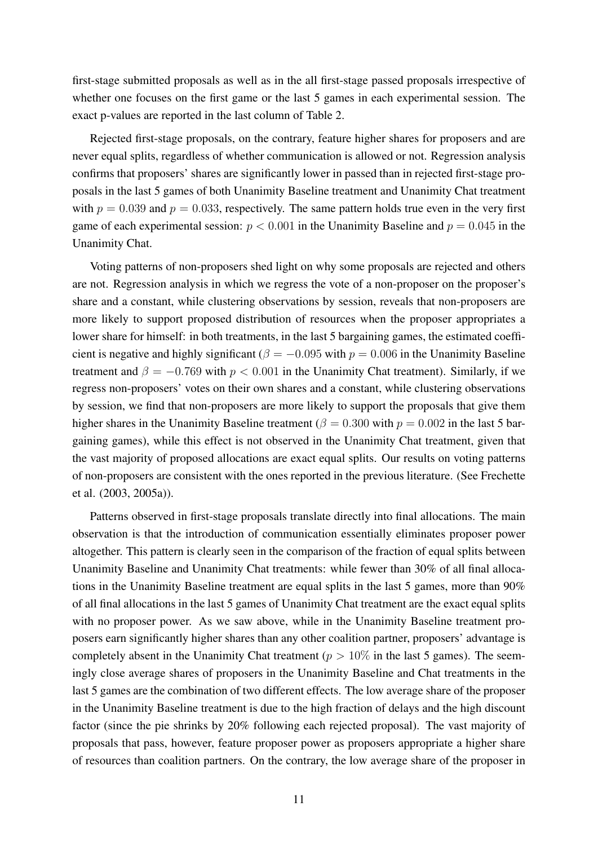first-stage submitted proposals as well as in the all first-stage passed proposals irrespective of whether one focuses on the first game or the last 5 games in each experimental session. The exact p-values are reported in the last column of Table 2.

Rejected first-stage proposals, on the contrary, feature higher shares for proposers and are never equal splits, regardless of whether communication is allowed or not. Regression analysis confirms that proposers' shares are significantly lower in passed than in rejected first-stage proposals in the last 5 games of both Unanimity Baseline treatment and Unanimity Chat treatment with  $p = 0.039$  and  $p = 0.033$ , respectively. The same pattern holds true even in the very first game of each experimental session:  $p < 0.001$  in the Unanimity Baseline and  $p = 0.045$  in the Unanimity Chat.

Voting patterns of non-proposers shed light on why some proposals are rejected and others are not. Regression analysis in which we regress the vote of a non-proposer on the proposer's share and a constant, while clustering observations by session, reveals that non-proposers are more likely to support proposed distribution of resources when the proposer appropriates a lower share for himself: in both treatments, in the last 5 bargaining games, the estimated coefficient is negative and highly significant ( $\beta = -0.095$  with  $p = 0.006$  in the Unanimity Baseline treatment and  $\beta = -0.769$  with  $p < 0.001$  in the Unanimity Chat treatment). Similarly, if we regress non-proposers' votes on their own shares and a constant, while clustering observations by session, we find that non-proposers are more likely to support the proposals that give them higher shares in the Unanimity Baseline treatment ( $\beta = 0.300$  with  $p = 0.002$  in the last 5 bargaining games), while this effect is not observed in the Unanimity Chat treatment, given that the vast majority of proposed allocations are exact equal splits. Our results on voting patterns of non-proposers are consistent with the ones reported in the previous literature. (See Frechette et al. (2003, 2005a)).

Patterns observed in first-stage proposals translate directly into final allocations. The main observation is that the introduction of communication essentially eliminates proposer power altogether. This pattern is clearly seen in the comparison of the fraction of equal splits between Unanimity Baseline and Unanimity Chat treatments: while fewer than 30% of all final allocations in the Unanimity Baseline treatment are equal splits in the last 5 games, more than 90% of all final allocations in the last 5 games of Unanimity Chat treatment are the exact equal splits with no proposer power. As we saw above, while in the Unanimity Baseline treatment proposers earn significantly higher shares than any other coalition partner, proposers' advantage is completely absent in the Unanimity Chat treatment ( $p > 10\%$  in the last 5 games). The seemingly close average shares of proposers in the Unanimity Baseline and Chat treatments in the last 5 games are the combination of two different effects. The low average share of the proposer in the Unanimity Baseline treatment is due to the high fraction of delays and the high discount factor (since the pie shrinks by 20% following each rejected proposal). The vast majority of proposals that pass, however, feature proposer power as proposers appropriate a higher share of resources than coalition partners. On the contrary, the low average share of the proposer in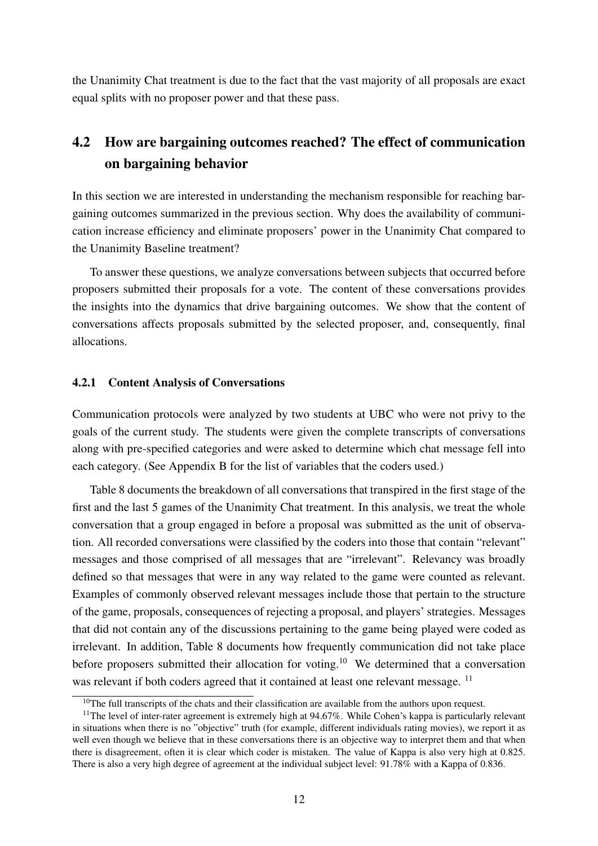the Unanimity Chat treatment is due to the fact that the vast majority of all proposals are exact equal splits with no proposer power and that these pass.

## 4.2 How are bargaining outcomes reached? The effect of communication on bargaining behavior

In this section we are interested in understanding the mechanism responsible for reaching bargaining outcomes summarized in the previous section. Why does the availability of communication increase efficiency and eliminate proposers' power in the Unanimity Chat compared to the Unanimity Baseline treatment?

To answer these questions, we analyze conversations between subjects that occurred before proposers submitted their proposals for a vote. The content of these conversations provides the insights into the dynamics that drive bargaining outcomes. We show that the content of conversations affects proposals submitted by the selected proposer, and, consequently, final allocations.

#### 4.2.1 Content Analysis of Conversations

Communication protocols were analyzed by two students at UBC who were not privy to the goals of the current study. The students were given the complete transcripts of conversations along with pre-specified categories and were asked to determine which chat message fell into each category. (See Appendix B for the list of variables that the coders used.)

Table 8 documents the breakdown of all conversations that transpired in the first stage of the first and the last 5 games of the Unanimity Chat treatment. In this analysis, we treat the whole conversation that a group engaged in before a proposal was submitted as the unit of observation. All recorded conversations were classified by the coders into those that contain "relevant" messages and those comprised of all messages that are "irrelevant". Relevancy was broadly defined so that messages that were in any way related to the game were counted as relevant. Examples of commonly observed relevant messages include those that pertain to the structure of the game, proposals, consequences of rejecting a proposal, and players' strategies. Messages that did not contain any of the discussions pertaining to the game being played were coded as irrelevant. In addition, Table 8 documents how frequently communication did not take place before proposers submitted their allocation for voting.<sup>10</sup> We determined that a conversation was relevant if both coders agreed that it contained at least one relevant message. <sup>11</sup>

 $10$ The full transcripts of the chats and their classification are available from the authors upon request.

<sup>&</sup>lt;sup>11</sup>The level of inter-rater agreement is extremely high at 94.67%. While Cohen's kappa is particularly relevant in situations when there is no "objective" truth (for example, different individuals rating movies), we report it as well even though we believe that in these conversations there is an objective way to interpret them and that when there is disagreement, often it is clear which coder is mistaken. The value of Kappa is also very high at 0.825. There is also a very high degree of agreement at the individual subject level: 91.78% with a Kappa of 0.836.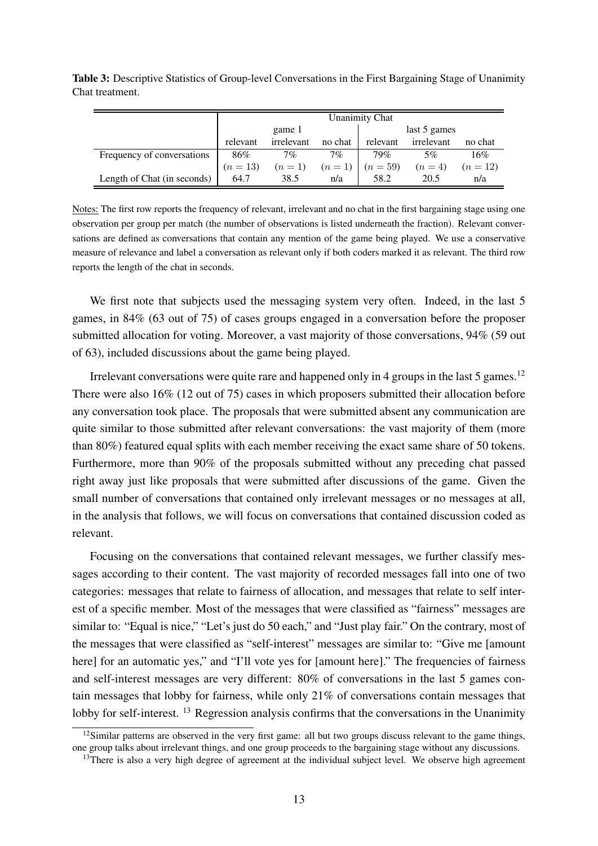|                             | <b>Unanimity Chat</b>                         |                        |         |            |            |            |
|-----------------------------|-----------------------------------------------|------------------------|---------|------------|------------|------------|
|                             |                                               | last 5 games<br>game 1 |         |            |            |            |
|                             | irrelevant<br>no chat<br>relevant<br>relevant |                        |         |            | irrelevant | no chat    |
| Frequency of conversations  | 86%                                           | 7%                     | 7%      | 79%        | 5%         | 16%        |
|                             | $(n = 13)$                                    | $(n = 1)$              | $(n=1)$ | $(n = 59)$ | $(n = 4)$  | $(n = 12)$ |
| Length of Chat (in seconds) | 64.7                                          | 38.5                   | n/a     | 58.2       | 20.5       | n/a        |

Table 3: Descriptive Statistics of Group-level Conversations in the First Bargaining Stage of Unanimity Chat treatment.

Notes: The first row reports the frequency of relevant, irrelevant and no chat in the first bargaining stage using one observation per group per match (the number of observations is listed underneath the fraction). Relevant conversations are defined as conversations that contain any mention of the game being played. We use a conservative measure of relevance and label a conversation as relevant only if both coders marked it as relevant. The third row reports the length of the chat in seconds.

We first note that subjects used the messaging system very often. Indeed, in the last 5 games, in 84% (63 out of 75) of cases groups engaged in a conversation before the proposer submitted allocation for voting. Moreover, a vast majority of those conversations, 94% (59 out of 63), included discussions about the game being played.

Irrelevant conversations were quite rare and happened only in 4 groups in the last 5 games.<sup>12</sup> There were also 16% (12 out of 75) cases in which proposers submitted their allocation before any conversation took place. The proposals that were submitted absent any communication are quite similar to those submitted after relevant conversations: the vast majority of them (more than 80%) featured equal splits with each member receiving the exact same share of 50 tokens. Furthermore, more than 90% of the proposals submitted without any preceding chat passed right away just like proposals that were submitted after discussions of the game. Given the small number of conversations that contained only irrelevant messages or no messages at all, in the analysis that follows, we will focus on conversations that contained discussion coded as relevant.

Focusing on the conversations that contained relevant messages, we further classify messages according to their content. The vast majority of recorded messages fall into one of two categories: messages that relate to fairness of allocation, and messages that relate to self interest of a specific member. Most of the messages that were classified as "fairness" messages are similar to: "Equal is nice," "Let's just do 50 each," and "Just play fair." On the contrary, most of the messages that were classified as "self-interest" messages are similar to: "Give me [amount here] for an automatic yes," and "I'll vote yes for [amount here]." The frequencies of fairness and self-interest messages are very different: 80% of conversations in the last 5 games contain messages that lobby for fairness, while only 21% of conversations contain messages that lobby for self-interest. <sup>13</sup> Regression analysis confirms that the conversations in the Unanimity

 $12$ Similar patterns are observed in the very first game: all but two groups discuss relevant to the game things, one group talks about irrelevant things, and one group proceeds to the bargaining stage without any discussions.

<sup>&</sup>lt;sup>13</sup>There is also a very high degree of agreement at the individual subject level. We observe high agreement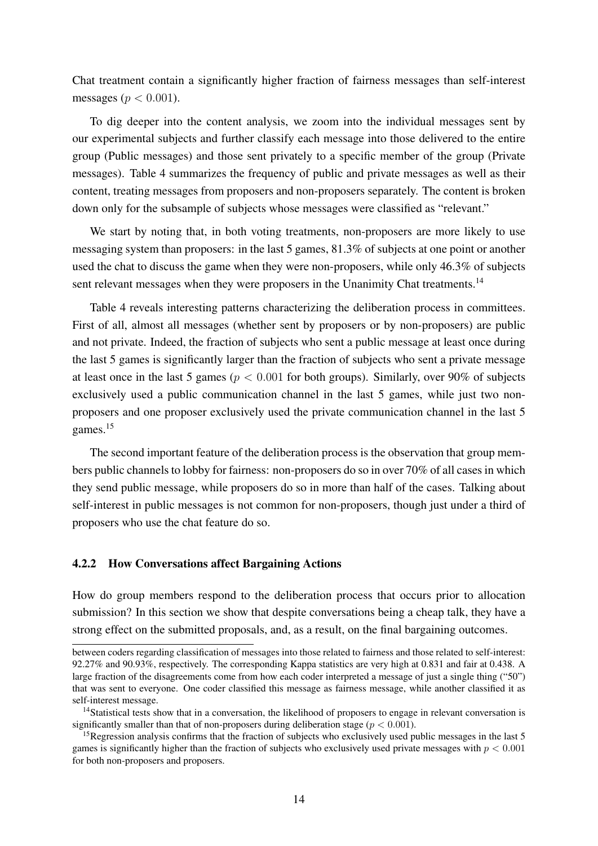Chat treatment contain a significantly higher fraction of fairness messages than self-interest messages ( $p < 0.001$ ).

To dig deeper into the content analysis, we zoom into the individual messages sent by our experimental subjects and further classify each message into those delivered to the entire group (Public messages) and those sent privately to a specific member of the group (Private messages). Table 4 summarizes the frequency of public and private messages as well as their content, treating messages from proposers and non-proposers separately. The content is broken down only for the subsample of subjects whose messages were classified as "relevant."

We start by noting that, in both voting treatments, non-proposers are more likely to use messaging system than proposers: in the last 5 games, 81.3% of subjects at one point or another used the chat to discuss the game when they were non-proposers, while only 46.3% of subjects sent relevant messages when they were proposers in the Unanimity Chat treatments.<sup>14</sup>

Table 4 reveals interesting patterns characterizing the deliberation process in committees. First of all, almost all messages (whether sent by proposers or by non-proposers) are public and not private. Indeed, the fraction of subjects who sent a public message at least once during the last 5 games is significantly larger than the fraction of subjects who sent a private message at least once in the last 5 games ( $p < 0.001$  for both groups). Similarly, over 90% of subjects exclusively used a public communication channel in the last 5 games, while just two nonproposers and one proposer exclusively used the private communication channel in the last 5 games.<sup>15</sup>

The second important feature of the deliberation process is the observation that group members public channels to lobby for fairness: non-proposers do so in over 70% of all cases in which they send public message, while proposers do so in more than half of the cases. Talking about self-interest in public messages is not common for non-proposers, though just under a third of proposers who use the chat feature do so.

#### 4.2.2 How Conversations affect Bargaining Actions

How do group members respond to the deliberation process that occurs prior to allocation submission? In this section we show that despite conversations being a cheap talk, they have a strong effect on the submitted proposals, and, as a result, on the final bargaining outcomes.

between coders regarding classification of messages into those related to fairness and those related to self-interest: 92.27% and 90.93%, respectively. The corresponding Kappa statistics are very high at 0.831 and fair at 0.438. A large fraction of the disagreements come from how each coder interpreted a message of just a single thing ("50") that was sent to everyone. One coder classified this message as fairness message, while another classified it as self-interest message.

<sup>&</sup>lt;sup>14</sup>Statistical tests show that in a conversation, the likelihood of proposers to engage in relevant conversation is significantly smaller than that of non-proposers during deliberation stage ( $p < 0.001$ ).

<sup>&</sup>lt;sup>15</sup>Regression analysis confirms that the fraction of subjects who exclusively used public messages in the last 5 games is significantly higher than the fraction of subjects who exclusively used private messages with  $p < 0.001$ for both non-proposers and proposers.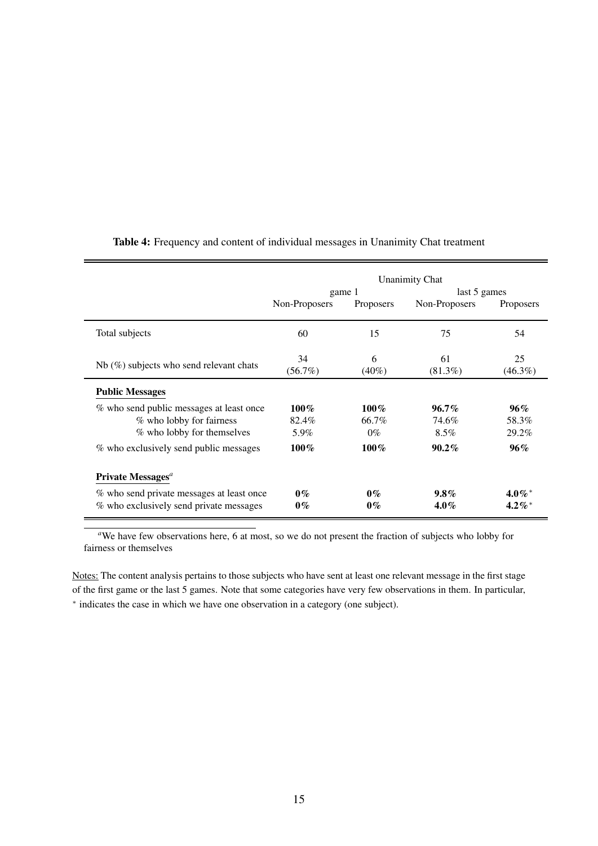|                                            | <b>Unanimity Chat</b> |               |                  |                      |  |  |
|--------------------------------------------|-----------------------|---------------|------------------|----------------------|--|--|
|                                            |                       | game 1        | last 5 games     |                      |  |  |
|                                            | Non-Proposers         | Proposers     | Non-Proposers    | Proposers            |  |  |
| Total subjects                             | 60                    | 15            | 75               | 54                   |  |  |
| Nb $(\%)$ subjects who send relevant chats | 34<br>$(56.7\%)$      | 6<br>$(40\%)$ | 61<br>$(81.3\%)$ | 25<br>$(46.3\%)$     |  |  |
| <b>Public Messages</b>                     |                       |               |                  |                      |  |  |
| % who send public messages at least once   | $100\%$               | $100\%$       | $96.7\%$         | 96%                  |  |  |
| % who lobby for fairness                   | 82.4%                 | 66.7%         | 74.6%            | 58.3%                |  |  |
| % who lobby for themselves                 | 5.9%                  | $0\%$         | 8.5%             | 29.2%                |  |  |
| % who exclusively send public messages     | $100\%$               | $100\%$       | $90.2\%$         | 96%                  |  |  |
| Private Messages <sup>a</sup>              |                       |               |                  |                      |  |  |
| % who send private messages at least once  | $0\%$                 | $0\%$         | $9.8\%$          | $4.0\%$ <sup>*</sup> |  |  |
| % who exclusively send private messages    | $0\%$                 | $0\%$         | $4.0\%$          | $4.2\%$ $*$          |  |  |

#### Table 4: Frequency and content of individual messages in Unanimity Chat treatment

<sup>a</sup>We have few observations here, 6 at most, so we do not present the fraction of subjects who lobby for fairness or themselves

Notes: The content analysis pertains to those subjects who have sent at least one relevant message in the first stage of the first game or the last 5 games. Note that some categories have very few observations in them. In particular, ∗ indicates the case in which we have one observation in a category (one subject).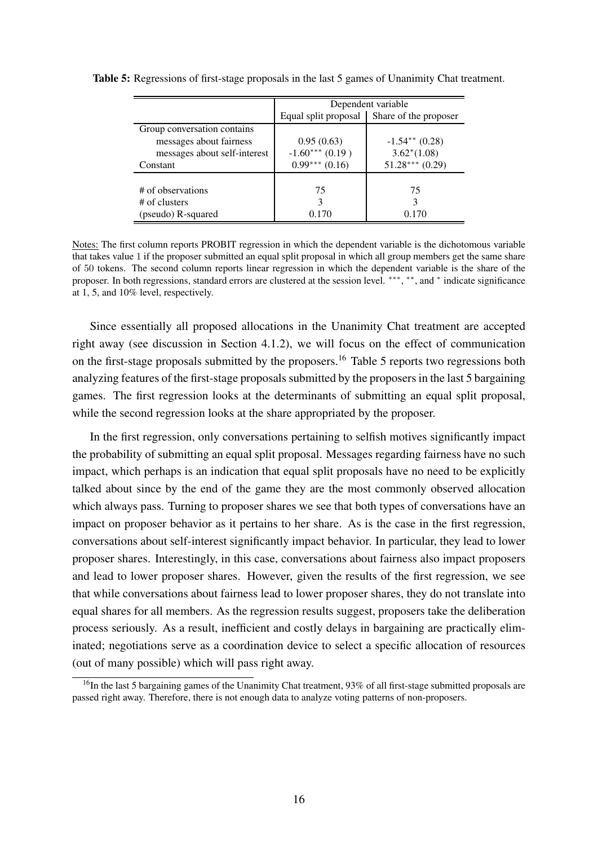|                              | Dependent variable   |                       |  |  |  |
|------------------------------|----------------------|-----------------------|--|--|--|
|                              | Equal split proposal | Share of the proposer |  |  |  |
| Group conversation contains  |                      |                       |  |  |  |
| messages about fairness      | 0.95(0.63)           | $-1.54**$ (0.28)      |  |  |  |
| messages about self-interest | $-1.60***$ (0.19)    | $3.62*(1.08)$         |  |  |  |
| Constant                     | $0.99***(0.16)$      | $51.28***(0.29)$      |  |  |  |
|                              |                      |                       |  |  |  |
| # of observations            | 75                   | 75                    |  |  |  |
| $#$ of clusters              |                      |                       |  |  |  |
| (pseudo) R-squared           | 0.170                | 0.170                 |  |  |  |

Table 5: Regressions of first-stage proposals in the last 5 games of Unanimity Chat treatment.

Notes: The first column reports PROBIT regression in which the dependent variable is the dichotomous variable that takes value 1 if the proposer submitted an equal split proposal in which all group members get the same share of 50 tokens. The second column reports linear regression in which the dependent variable is the share of the proposer. In both regressions, standard errors are clustered at the session level. \*\*\*, \*\*, and \* indicate significance at 1, 5, and 10% level, respectively.

Since essentially all proposed allocations in the Unanimity Chat treatment are accepted right away (see discussion in Section 4.1.2), we will focus on the effect of communication on the first-stage proposals submitted by the proposers.<sup>16</sup> Table 5 reports two regressions both analyzing features of the first-stage proposals submitted by the proposers in the last 5 bargaining games. The first regression looks at the determinants of submitting an equal split proposal, while the second regression looks at the share appropriated by the proposer.

In the first regression, only conversations pertaining to selfish motives significantly impact the probability of submitting an equal split proposal. Messages regarding fairness have no such impact, which perhaps is an indication that equal split proposals have no need to be explicitly talked about since by the end of the game they are the most commonly observed allocation which always pass. Turning to proposer shares we see that both types of conversations have an impact on proposer behavior as it pertains to her share. As is the case in the first regression, conversations about self-interest significantly impact behavior. In particular, they lead to lower proposer shares. Interestingly, in this case, conversations about fairness also impact proposers and lead to lower proposer shares. However, given the results of the first regression, we see that while conversations about fairness lead to lower proposer shares, they do not translate into equal shares for all members. As the regression results suggest, proposers take the deliberation process seriously. As a result, inefficient and costly delays in bargaining are practically eliminated; negotiations serve as a coordination device to select a specific allocation of resources (out of many possible) which will pass right away.

 $16$ In the last 5 bargaining games of the Unanimity Chat treatment, 93% of all first-stage submitted proposals are passed right away. Therefore, there is not enough data to analyze voting patterns of non-proposers.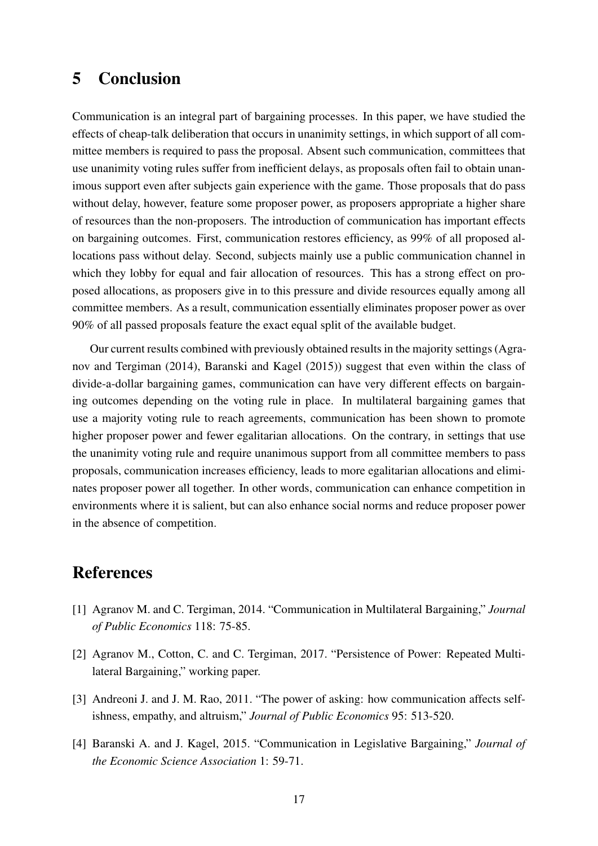# 5 Conclusion

Communication is an integral part of bargaining processes. In this paper, we have studied the effects of cheap-talk deliberation that occurs in unanimity settings, in which support of all committee members is required to pass the proposal. Absent such communication, committees that use unanimity voting rules suffer from inefficient delays, as proposals often fail to obtain unanimous support even after subjects gain experience with the game. Those proposals that do pass without delay, however, feature some proposer power, as proposers appropriate a higher share of resources than the non-proposers. The introduction of communication has important effects on bargaining outcomes. First, communication restores efficiency, as 99% of all proposed allocations pass without delay. Second, subjects mainly use a public communication channel in which they lobby for equal and fair allocation of resources. This has a strong effect on proposed allocations, as proposers give in to this pressure and divide resources equally among all committee members. As a result, communication essentially eliminates proposer power as over 90% of all passed proposals feature the exact equal split of the available budget.

Our current results combined with previously obtained results in the majority settings (Agranov and Tergiman (2014), Baranski and Kagel (2015)) suggest that even within the class of divide-a-dollar bargaining games, communication can have very different effects on bargaining outcomes depending on the voting rule in place. In multilateral bargaining games that use a majority voting rule to reach agreements, communication has been shown to promote higher proposer power and fewer egalitarian allocations. On the contrary, in settings that use the unanimity voting rule and require unanimous support from all committee members to pass proposals, communication increases efficiency, leads to more egalitarian allocations and eliminates proposer power all together. In other words, communication can enhance competition in environments where it is salient, but can also enhance social norms and reduce proposer power in the absence of competition.

### References

- [1] Agranov M. and C. Tergiman, 2014. "Communication in Multilateral Bargaining," *Journal of Public Economics* 118: 75-85.
- [2] Agranov M., Cotton, C. and C. Tergiman, 2017. "Persistence of Power: Repeated Multilateral Bargaining," working paper.
- [3] Andreoni J. and J. M. Rao, 2011. "The power of asking: how communication affects selfishness, empathy, and altruism," *Journal of Public Economics* 95: 513-520.
- [4] Baranski A. and J. Kagel, 2015. "Communication in Legislative Bargaining," *Journal of the Economic Science Association* 1: 59-71.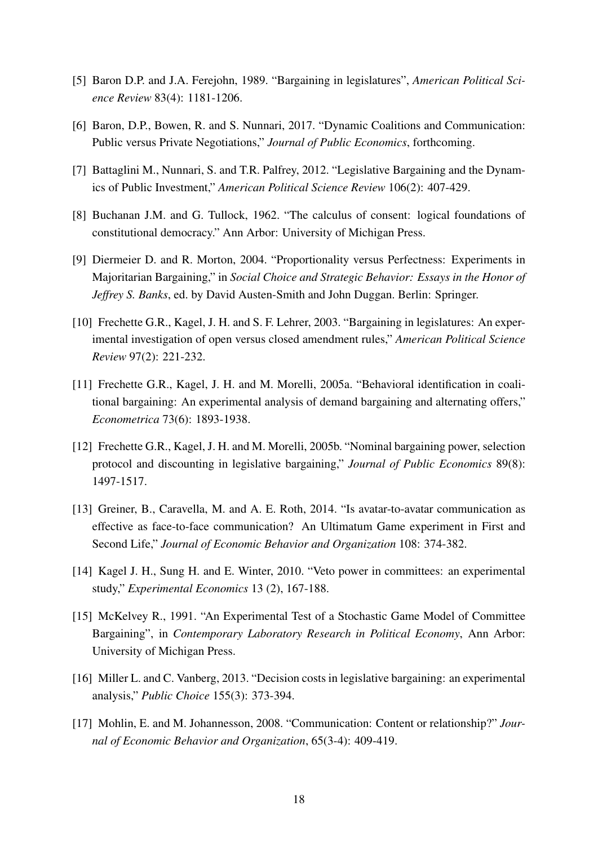- [5] Baron D.P. and J.A. Ferejohn, 1989. "Bargaining in legislatures", *American Political Science Review* 83(4): 1181-1206.
- [6] Baron, D.P., Bowen, R. and S. Nunnari, 2017. "Dynamic Coalitions and Communication: Public versus Private Negotiations," *Journal of Public Economics*, forthcoming.
- [7] Battaglini M., Nunnari, S. and T.R. Palfrey, 2012. "Legislative Bargaining and the Dynamics of Public Investment," *American Political Science Review* 106(2): 407-429.
- [8] Buchanan J.M. and G. Tullock, 1962. "The calculus of consent: logical foundations of constitutional democracy." Ann Arbor: University of Michigan Press.
- [9] Diermeier D. and R. Morton, 2004. "Proportionality versus Perfectness: Experiments in Majoritarian Bargaining," in *Social Choice and Strategic Behavior: Essays in the Honor of Jeffrey S. Banks*, ed. by David Austen-Smith and John Duggan. Berlin: Springer.
- [10] Frechette G.R., Kagel, J. H. and S. F. Lehrer, 2003. "Bargaining in legislatures: An experimental investigation of open versus closed amendment rules," *American Political Science Review* 97(2): 221-232.
- [11] Frechette G.R., Kagel, J. H. and M. Morelli, 2005a. "Behavioral identification in coalitional bargaining: An experimental analysis of demand bargaining and alternating offers," *Econometrica* 73(6): 1893-1938.
- [12] Frechette G.R., Kagel, J. H. and M. Morelli, 2005b. "Nominal bargaining power, selection protocol and discounting in legislative bargaining," *Journal of Public Economics* 89(8): 1497-1517.
- [13] Greiner, B., Caravella, M. and A. E. Roth, 2014. "Is avatar-to-avatar communication as effective as face-to-face communication? An Ultimatum Game experiment in First and Second Life," *Journal of Economic Behavior and Organization* 108: 374-382.
- [14] Kagel J. H., Sung H. and E. Winter, 2010. "Veto power in committees: an experimental study," *Experimental Economics* 13 (2), 167-188.
- [15] McKelvey R., 1991. "An Experimental Test of a Stochastic Game Model of Committee Bargaining", in *Contemporary Laboratory Research in Political Economy*, Ann Arbor: University of Michigan Press.
- [16] Miller L. and C. Vanberg, 2013. "Decision costs in legislative bargaining: an experimental analysis," *Public Choice* 155(3): 373-394.
- [17] Mohlin, E. and M. Johannesson, 2008. "Communication: Content or relationship?" *Journal of Economic Behavior and Organization*, 65(3-4): 409-419.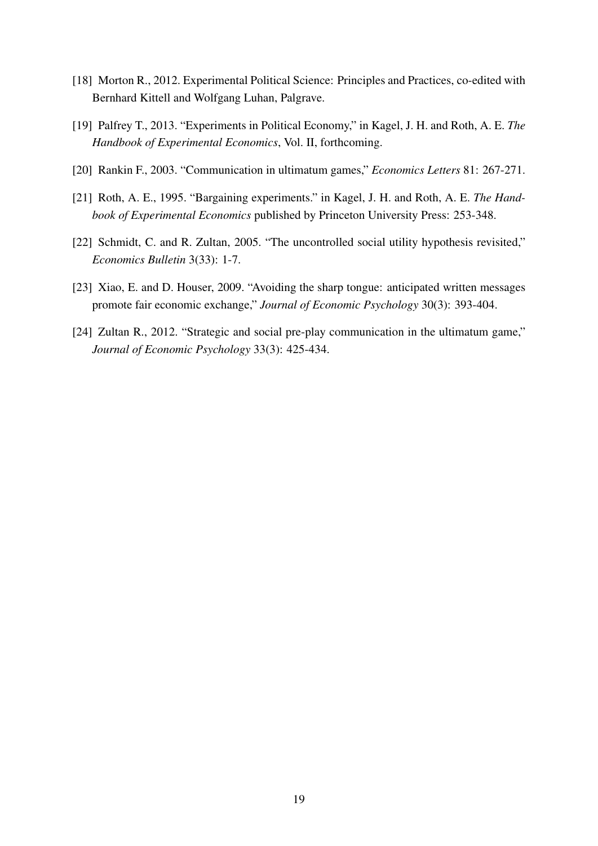- [18] Morton R., 2012. Experimental Political Science: Principles and Practices, co-edited with Bernhard Kittell and Wolfgang Luhan, Palgrave.
- [19] Palfrey T., 2013. "Experiments in Political Economy," in Kagel, J. H. and Roth, A. E. *The Handbook of Experimental Economics*, Vol. II, forthcoming.
- [20] Rankin F., 2003. "Communication in ultimatum games," *Economics Letters* 81: 267-271.
- [21] Roth, A. E., 1995. "Bargaining experiments." in Kagel, J. H. and Roth, A. E. *The Handbook of Experimental Economics* published by Princeton University Press: 253-348.
- [22] Schmidt, C. and R. Zultan, 2005. "The uncontrolled social utility hypothesis revisited," *Economics Bulletin* 3(33): 1-7.
- [23] Xiao, E. and D. Houser, 2009. "Avoiding the sharp tongue: anticipated written messages promote fair economic exchange," *Journal of Economic Psychology* 30(3): 393-404.
- [24] Zultan R., 2012. "Strategic and social pre-play communication in the ultimatum game," *Journal of Economic Psychology* 33(3): 425-434.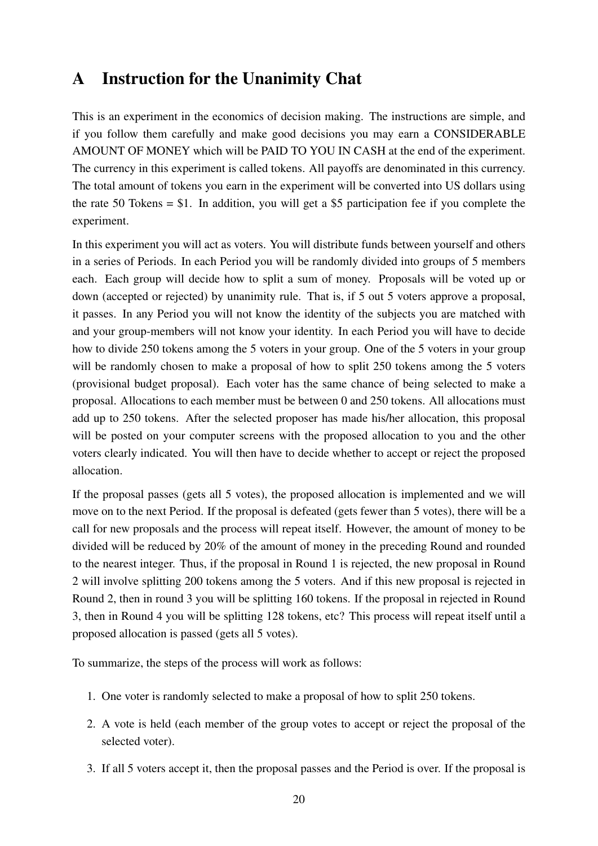# A Instruction for the Unanimity Chat

This is an experiment in the economics of decision making. The instructions are simple, and if you follow them carefully and make good decisions you may earn a CONSIDERABLE AMOUNT OF MONEY which will be PAID TO YOU IN CASH at the end of the experiment. The currency in this experiment is called tokens. All payoffs are denominated in this currency. The total amount of tokens you earn in the experiment will be converted into US dollars using the rate 50 Tokens  $= $1$ . In addition, you will get a \$5 participation fee if you complete the experiment.

In this experiment you will act as voters. You will distribute funds between yourself and others in a series of Periods. In each Period you will be randomly divided into groups of 5 members each. Each group will decide how to split a sum of money. Proposals will be voted up or down (accepted or rejected) by unanimity rule. That is, if 5 out 5 voters approve a proposal, it passes. In any Period you will not know the identity of the subjects you are matched with and your group-members will not know your identity. In each Period you will have to decide how to divide 250 tokens among the 5 voters in your group. One of the 5 voters in your group will be randomly chosen to make a proposal of how to split 250 tokens among the 5 voters (provisional budget proposal). Each voter has the same chance of being selected to make a proposal. Allocations to each member must be between 0 and 250 tokens. All allocations must add up to 250 tokens. After the selected proposer has made his/her allocation, this proposal will be posted on your computer screens with the proposed allocation to you and the other voters clearly indicated. You will then have to decide whether to accept or reject the proposed allocation.

If the proposal passes (gets all 5 votes), the proposed allocation is implemented and we will move on to the next Period. If the proposal is defeated (gets fewer than 5 votes), there will be a call for new proposals and the process will repeat itself. However, the amount of money to be divided will be reduced by 20% of the amount of money in the preceding Round and rounded to the nearest integer. Thus, if the proposal in Round 1 is rejected, the new proposal in Round 2 will involve splitting 200 tokens among the 5 voters. And if this new proposal is rejected in Round 2, then in round 3 you will be splitting 160 tokens. If the proposal in rejected in Round 3, then in Round 4 you will be splitting 128 tokens, etc? This process will repeat itself until a proposed allocation is passed (gets all 5 votes).

To summarize, the steps of the process will work as follows:

- 1. One voter is randomly selected to make a proposal of how to split 250 tokens.
- 2. A vote is held (each member of the group votes to accept or reject the proposal of the selected voter).
- 3. If all 5 voters accept it, then the proposal passes and the Period is over. If the proposal is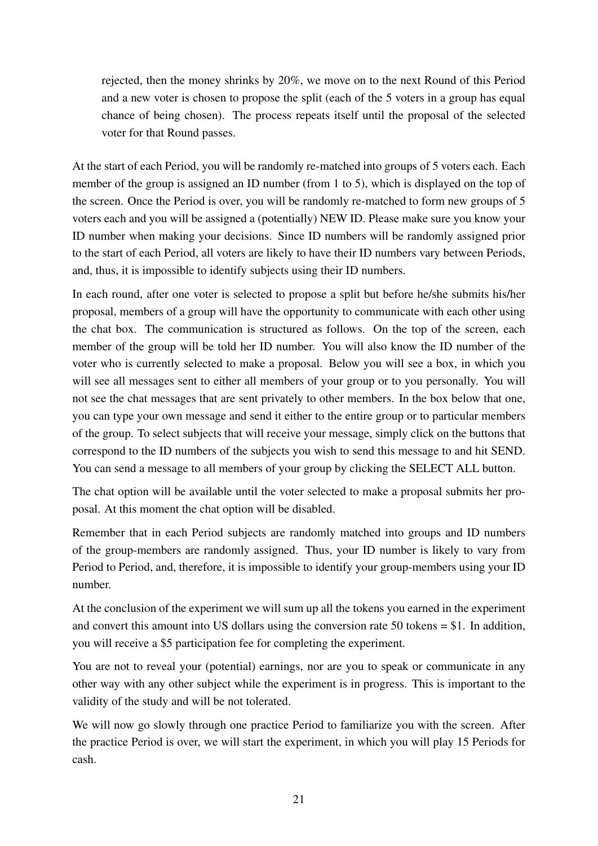rejected, then the money shrinks by 20%, we move on to the next Round of this Period and a new voter is chosen to propose the split (each of the 5 voters in a group has equal chance of being chosen). The process repeats itself until the proposal of the selected voter for that Round passes.

At the start of each Period, you will be randomly re-matched into groups of 5 voters each. Each member of the group is assigned an ID number (from 1 to 5), which is displayed on the top of the screen. Once the Period is over, you will be randomly re-matched to form new groups of 5 voters each and you will be assigned a (potentially) NEW ID. Please make sure you know your ID number when making your decisions. Since ID numbers will be randomly assigned prior to the start of each Period, all voters are likely to have their ID numbers vary between Periods, and, thus, it is impossible to identify subjects using their ID numbers.

In each round, after one voter is selected to propose a split but before he/she submits his/her proposal, members of a group will have the opportunity to communicate with each other using the chat box. The communication is structured as follows. On the top of the screen, each member of the group will be told her ID number. You will also know the ID number of the voter who is currently selected to make a proposal. Below you will see a box, in which you will see all messages sent to either all members of your group or to you personally. You will not see the chat messages that are sent privately to other members. In the box below that one, you can type your own message and send it either to the entire group or to particular members of the group. To select subjects that will receive your message, simply click on the buttons that correspond to the ID numbers of the subjects you wish to send this message to and hit SEND. You can send a message to all members of your group by clicking the SELECT ALL button.

The chat option will be available until the voter selected to make a proposal submits her proposal. At this moment the chat option will be disabled.

Remember that in each Period subjects are randomly matched into groups and ID numbers of the group-members are randomly assigned. Thus, your ID number is likely to vary from Period to Period, and, therefore, it is impossible to identify your group-members using your ID number.

At the conclusion of the experiment we will sum up all the tokens you earned in the experiment and convert this amount into US dollars using the conversion rate 50 tokens = \$1. In addition, you will receive a \$5 participation fee for completing the experiment.

You are not to reveal your (potential) earnings, nor are you to speak or communicate in any other way with any other subject while the experiment is in progress. This is important to the validity of the study and will be not tolerated.

We will now go slowly through one practice Period to familiarize you with the screen. After the practice Period is over, we will start the experiment, in which you will play 15 Periods for cash.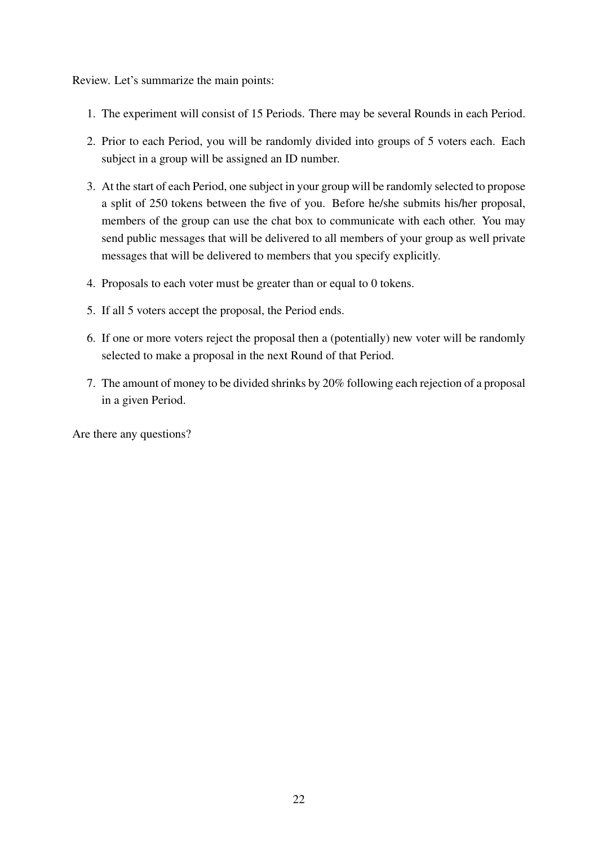Review. Let's summarize the main points:

- 1. The experiment will consist of 15 Periods. There may be several Rounds in each Period.
- 2. Prior to each Period, you will be randomly divided into groups of 5 voters each. Each subject in a group will be assigned an ID number.
- 3. At the start of each Period, one subject in your group will be randomly selected to propose a split of 250 tokens between the five of you. Before he/she submits his/her proposal, members of the group can use the chat box to communicate with each other. You may send public messages that will be delivered to all members of your group as well private messages that will be delivered to members that you specify explicitly.
- 4. Proposals to each voter must be greater than or equal to 0 tokens.
- 5. If all 5 voters accept the proposal, the Period ends.
- 6. If one or more voters reject the proposal then a (potentially) new voter will be randomly selected to make a proposal in the next Round of that Period.
- 7. The amount of money to be divided shrinks by 20% following each rejection of a proposal in a given Period.

Are there any questions?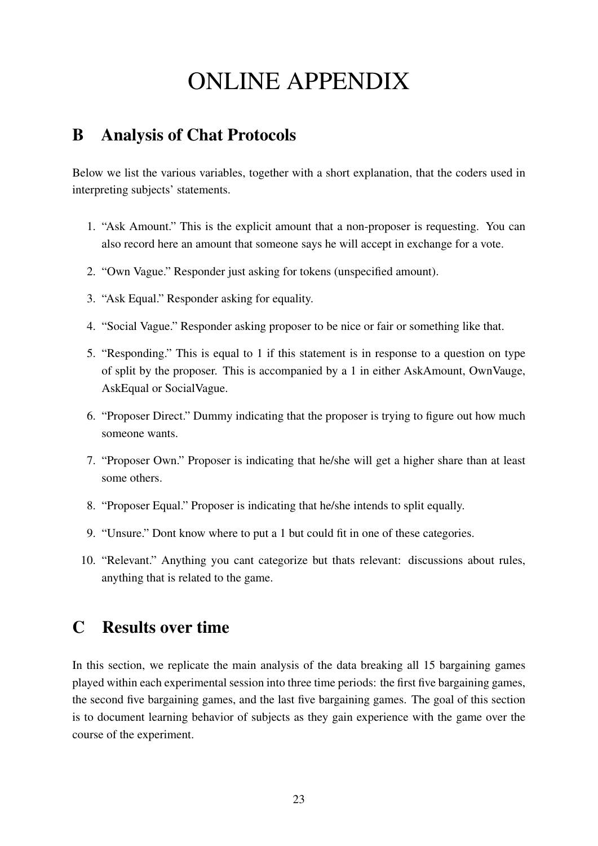# ONLINE APPENDIX

# B Analysis of Chat Protocols

Below we list the various variables, together with a short explanation, that the coders used in interpreting subjects' statements.

- 1. "Ask Amount." This is the explicit amount that a non-proposer is requesting. You can also record here an amount that someone says he will accept in exchange for a vote.
- 2. "Own Vague." Responder just asking for tokens (unspecified amount).
- 3. "Ask Equal." Responder asking for equality.
- 4. "Social Vague." Responder asking proposer to be nice or fair or something like that.
- 5. "Responding." This is equal to 1 if this statement is in response to a question on type of split by the proposer. This is accompanied by a 1 in either AskAmount, OwnVauge, AskEqual or SocialVague.
- 6. "Proposer Direct." Dummy indicating that the proposer is trying to figure out how much someone wants.
- 7. "Proposer Own." Proposer is indicating that he/she will get a higher share than at least some others.
- 8. "Proposer Equal." Proposer is indicating that he/she intends to split equally.
- 9. "Unsure." Dont know where to put a 1 but could fit in one of these categories.
- 10. "Relevant." Anything you cant categorize but thats relevant: discussions about rules, anything that is related to the game.

## C Results over time

In this section, we replicate the main analysis of the data breaking all 15 bargaining games played within each experimental session into three time periods: the first five bargaining games, the second five bargaining games, and the last five bargaining games. The goal of this section is to document learning behavior of subjects as they gain experience with the game over the course of the experiment.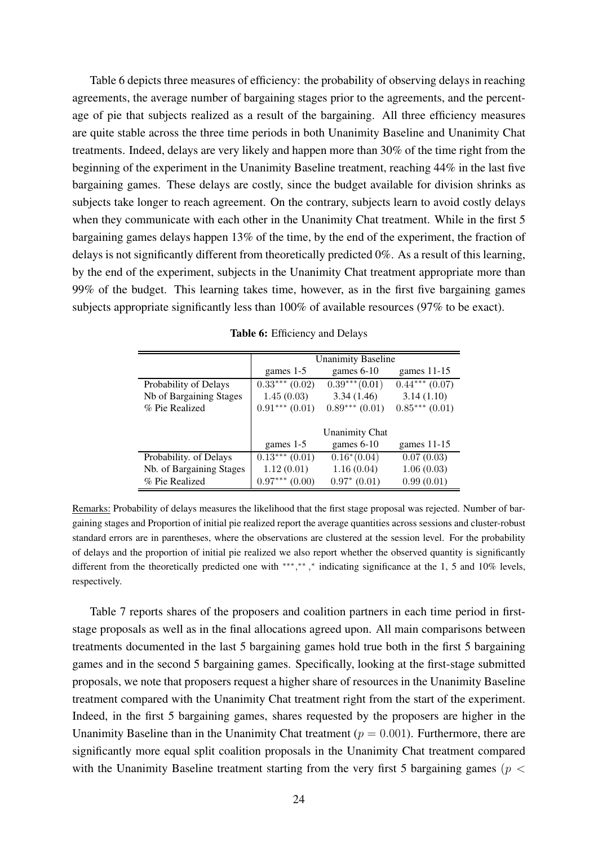Table 6 depicts three measures of efficiency: the probability of observing delays in reaching agreements, the average number of bargaining stages prior to the agreements, and the percentage of pie that subjects realized as a result of the bargaining. All three efficiency measures are quite stable across the three time periods in both Unanimity Baseline and Unanimity Chat treatments. Indeed, delays are very likely and happen more than 30% of the time right from the beginning of the experiment in the Unanimity Baseline treatment, reaching 44% in the last five bargaining games. These delays are costly, since the budget available for division shrinks as subjects take longer to reach agreement. On the contrary, subjects learn to avoid costly delays when they communicate with each other in the Unanimity Chat treatment. While in the first 5 bargaining games delays happen 13% of the time, by the end of the experiment, the fraction of delays is not significantly different from theoretically predicted 0%. As a result of this learning, by the end of the experiment, subjects in the Unanimity Chat treatment appropriate more than 99% of the budget. This learning takes time, however, as in the first five bargaining games subjects appropriate significantly less than 100% of available resources (97% to be exact).

|                          |                              | <b>Unanimity Baseline</b> |                  |  |  |  |  |  |
|--------------------------|------------------------------|---------------------------|------------------|--|--|--|--|--|
|                          | games 1-5                    | games $6-10$              | games $11-15$    |  |  |  |  |  |
| Probability of Delays    | $0.33***$ (0.02)             | $0.39***(0.01)$           | $0.44***$ (0.07) |  |  |  |  |  |
| Nb of Bargaining Stages  | 1.45(0.03)                   | 3.34(1.46)                | 3.14(1.10)       |  |  |  |  |  |
| % Pie Realized           | $0.91***(0.01)$              | $0.89***(0.01)$           | $0.85***(0.01)$  |  |  |  |  |  |
|                          |                              |                           |                  |  |  |  |  |  |
|                          | <b>Unanimity Chat</b>        |                           |                  |  |  |  |  |  |
|                          | games 1-5                    | games $6-10$              | games $11-15$    |  |  |  |  |  |
| Probability. of Delays   | $\overline{0.13}$ *** (0.01) | $0.16*(0.04)$             | 0.07(0.03)       |  |  |  |  |  |
| Nb. of Bargaining Stages | 1.12(0.01)                   | 1.16(0.04)                | 1.06(0.03)       |  |  |  |  |  |
| % Pie Realized           | $0.97***$<br>(0.00)          | $0.97^* (0.01)$           | 0.99(0.01)       |  |  |  |  |  |

Table 6: Efficiency and Delays

Remarks: Probability of delays measures the likelihood that the first stage proposal was rejected. Number of bargaining stages and Proportion of initial pie realized report the average quantities across sessions and cluster-robust standard errors are in parentheses, where the observations are clustered at the session level. For the probability of delays and the proportion of initial pie realized we also report whether the observed quantity is significantly different from the theoretically predicted one with \*\*\*,\*\*,\* indicating significance at the 1, 5 and 10% levels, respectively.

Table 7 reports shares of the proposers and coalition partners in each time period in firststage proposals as well as in the final allocations agreed upon. All main comparisons between treatments documented in the last 5 bargaining games hold true both in the first 5 bargaining games and in the second 5 bargaining games. Specifically, looking at the first-stage submitted proposals, we note that proposers request a higher share of resources in the Unanimity Baseline treatment compared with the Unanimity Chat treatment right from the start of the experiment. Indeed, in the first 5 bargaining games, shares requested by the proposers are higher in the Unanimity Baseline than in the Unanimity Chat treatment ( $p = 0.001$ ). Furthermore, there are significantly more equal split coalition proposals in the Unanimity Chat treatment compared with the Unanimity Baseline treatment starting from the very first 5 bargaining games ( $p <$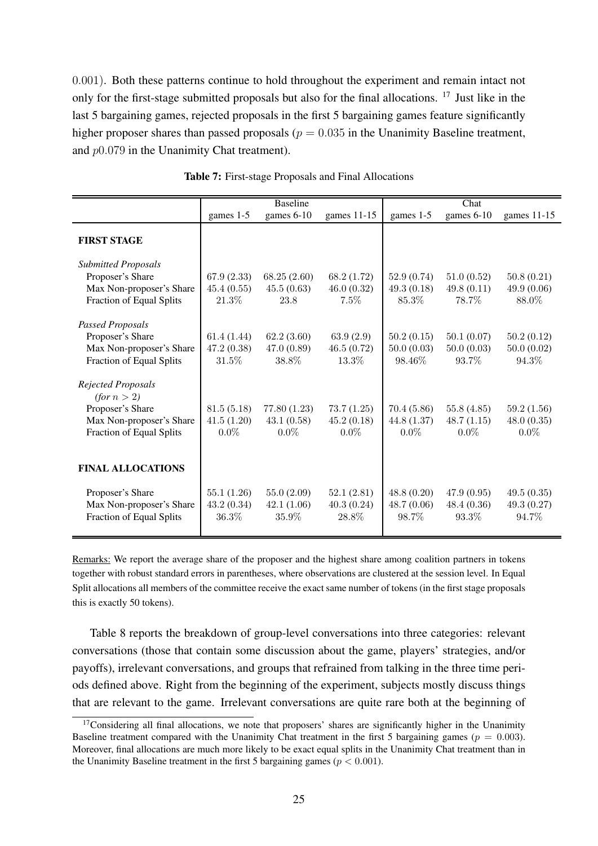0.001). Both these patterns continue to hold throughout the experiment and remain intact not only for the first-stage submitted proposals but also for the final allocations. <sup>17</sup> Just like in the last 5 bargaining games, rejected proposals in the first 5 bargaining games feature significantly higher proposer shares than passed proposals ( $p = 0.035$  in the Unanimity Baseline treatment, and p0.079 in the Unanimity Chat treatment).

|                                                                                                                         |                                      | <b>Baseline</b>                       |                                     |                                     | Chat                                 |                                     |
|-------------------------------------------------------------------------------------------------------------------------|--------------------------------------|---------------------------------------|-------------------------------------|-------------------------------------|--------------------------------------|-------------------------------------|
|                                                                                                                         | games 1-5                            | games $6-10$                          | games 11-15                         | games 1-5                           | games 6-10                           | games 11-15                         |
| <b>FIRST STAGE</b>                                                                                                      |                                      |                                       |                                     |                                     |                                      |                                     |
| <b>Submitted Proposals</b>                                                                                              |                                      |                                       |                                     |                                     |                                      |                                     |
| Proposer's Share                                                                                                        | 67.9(2.33)                           | 68.25(2.60)                           | 68.2 (1.72)                         | 52.9 (0.74)                         | 51.0(0.52)                           | 50.8(0.21)                          |
| Max Non-proposer's Share                                                                                                | 45.4(0.55)                           | 45.5(0.63)                            | 46.0(0.32)                          | 49.3(0.18)                          | 49.8(0.11)                           | 49.9(0.06)                          |
| Fraction of Equal Splits                                                                                                | 21.3%                                | 23.8                                  | $7.5\%$                             | 85.3%                               | 78.7%                                | 88.0%                               |
| <b>Passed Proposals</b><br>Proposer's Share                                                                             | 61.4 (1.44)                          | 62.2(3.60)                            | 63.9(2.9)                           | 50.2(0.15)                          | 50.1(0.07)                           | 50.2(0.12)                          |
| Max Non-proposer's Share                                                                                                | 47.2(0.38)                           | 47.0(0.89)                            | 46.5(0.72)                          | 50.0(0.03)                          | 50.0(0.03)                           | 50.0(0.02)                          |
| Fraction of Equal Splits                                                                                                | 31.5%                                | 38.8%                                 | 13.3%                               | 98.46\%                             | 93.7%                                | 94.3%                               |
| <b>Rejected Proposals</b><br>(for $n > 2$ )<br>Proposer's Share<br>Max Non-proposer's Share<br>Fraction of Equal Splits | 81.5 (5.18)<br>41.5(1.20)<br>$0.0\%$ | 77.80 (1.23)<br>43.1(0.58)<br>$0.0\%$ | 73.7(1.25)<br>45.2(0.18)<br>$0.0\%$ | 70.4(5.86)<br>44.8(1.37)<br>$0.0\%$ | 55.8 (4.85)<br>48.7(1.15)<br>$0.0\%$ | 59.2(1.56)<br>48.0(0.35)<br>$0.0\%$ |
| <b>FINAL ALLOCATIONS</b>                                                                                                |                                      |                                       |                                     |                                     |                                      |                                     |
| Proposer's Share<br>Max Non-proposer's Share<br>Fraction of Equal Splits                                                | 55.1(1.26)<br>43.2(0.34)<br>36.3%    | 55.0(2.09)<br>42.1(1.06)<br>35.9%     | 52.1(2.81)<br>40.3(0.24)<br>28.8%   | 48.8(0.20)<br>48.7(0.06)<br>98.7%   | 47.9(0.95)<br>48.4(0.36)<br>93.3%    | 49.5(0.35)<br>49.3(0.27)<br>94.7%   |

Remarks: We report the average share of the proposer and the highest share among coalition partners in tokens together with robust standard errors in parentheses, where observations are clustered at the session level. In Equal Split allocations all members of the committee receive the exact same number of tokens (in the first stage proposals this is exactly 50 tokens).

Table 8 reports the breakdown of group-level conversations into three categories: relevant conversations (those that contain some discussion about the game, players' strategies, and/or payoffs), irrelevant conversations, and groups that refrained from talking in the three time periods defined above. Right from the beginning of the experiment, subjects mostly discuss things that are relevant to the game. Irrelevant conversations are quite rare both at the beginning of

 $17$ Considering all final allocations, we note that proposers' shares are significantly higher in the Unanimity Baseline treatment compared with the Unanimity Chat treatment in the first 5 bargaining games ( $p = 0.003$ ). Moreover, final allocations are much more likely to be exact equal splits in the Unanimity Chat treatment than in the Unanimity Baseline treatment in the first 5 bargaining games ( $p < 0.001$ ).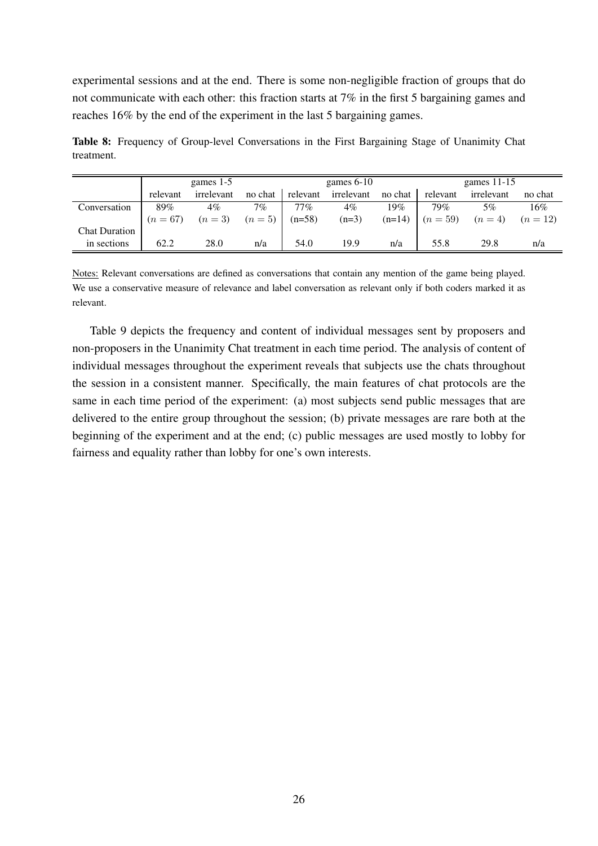experimental sessions and at the end. There is some non-negligible fraction of groups that do not communicate with each other: this fraction starts at 7% in the first 5 bargaining games and reaches 16% by the end of the experiment in the last 5 bargaining games.

|                      | games $1-5$ |                                           |       | games $6-10$     |                     |                | games $11-15$ |                                          |         |
|----------------------|-------------|-------------------------------------------|-------|------------------|---------------------|----------------|---------------|------------------------------------------|---------|
|                      | relevant    | irrelevant                                |       | no chat relevant | irrelevant          | $\log$ no chat | relevant      | irrelevant                               | no chat |
| Conversation         | 89%         | $4\%$                                     | $7\%$ | $77\%$           |                     | $19\%$         | 79%           | 5%                                       | 16%     |
|                      |             | $(n = 67)$ $(n = 3)$ $(n = 5)$ $(n = 58)$ |       |                  | $\frac{4\%}{(n=3)}$ |                |               | $(n=14)$ $(n = 59)$ $(n = 4)$ $(n = 12)$ |         |
| <b>Chat Duration</b> |             |                                           |       |                  |                     |                |               |                                          |         |
| in sections          | 62.2        | 28.0                                      | n/a   | 54.0             | 19.9                | n/a            | 55.8          | 29.8                                     | n/a     |

Table 8: Frequency of Group-level Conversations in the First Bargaining Stage of Unanimity Chat treatment.

Notes: Relevant conversations are defined as conversations that contain any mention of the game being played. We use a conservative measure of relevance and label conversation as relevant only if both coders marked it as relevant.

Table 9 depicts the frequency and content of individual messages sent by proposers and non-proposers in the Unanimity Chat treatment in each time period. The analysis of content of individual messages throughout the experiment reveals that subjects use the chats throughout the session in a consistent manner. Specifically, the main features of chat protocols are the same in each time period of the experiment: (a) most subjects send public messages that are delivered to the entire group throughout the session; (b) private messages are rare both at the beginning of the experiment and at the end; (c) public messages are used mostly to lobby for fairness and equality rather than lobby for one's own interests.